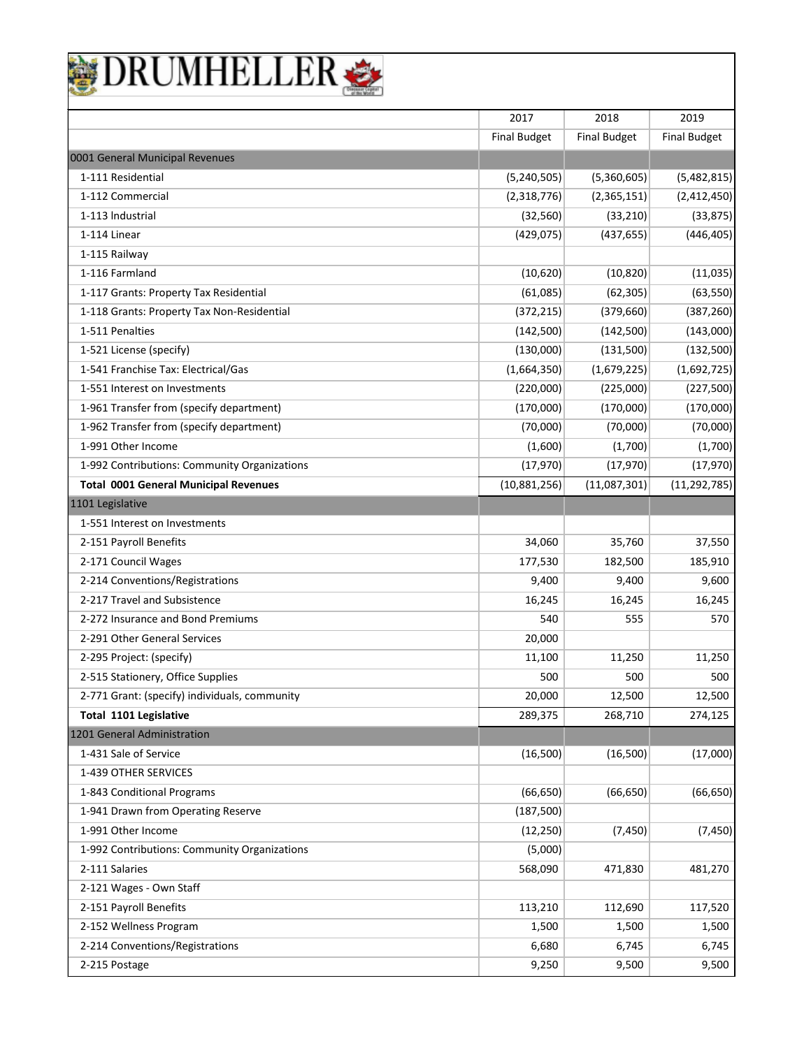|  |  | NELLER |  |
|--|--|--------|--|
|  |  |        |  |

|                                               | 2017                | 2018                | 2019                |
|-----------------------------------------------|---------------------|---------------------|---------------------|
|                                               | <b>Final Budget</b> | <b>Final Budget</b> | <b>Final Budget</b> |
| 0001 General Municipal Revenues               |                     |                     |                     |
| 1-111 Residential                             | (5, 240, 505)       | (5,360,605)         | (5,482,815)         |
| 1-112 Commercial                              | (2,318,776)         | (2,365,151)         | (2,412,450)         |
| 1-113 Industrial                              | (32, 560)           | (33, 210)           | (33, 875)           |
| 1-114 Linear                                  | (429, 075)          | (437, 655)          | (446, 405)          |
| 1-115 Railway                                 |                     |                     |                     |
| 1-116 Farmland                                | (10,620)            | (10, 820)           | (11,035)            |
| 1-117 Grants: Property Tax Residential        | (61,085)            | (62, 305)           | (63, 550)           |
| 1-118 Grants: Property Tax Non-Residential    | (372, 215)          | (379, 660)          | (387, 260)          |
| 1-511 Penalties                               | (142,500)           | (142,500)           | (143,000)           |
| 1-521 License (specify)                       | (130,000)           | (131,500)           | (132, 500)          |
| 1-541 Franchise Tax: Electrical/Gas           | (1,664,350)         | (1,679,225)         | (1,692,725)         |
| 1-551 Interest on Investments                 | (220,000)           | (225,000)           | (227, 500)          |
| 1-961 Transfer from (specify department)      | (170,000)           | (170,000)           | (170,000)           |
| 1-962 Transfer from (specify department)      | (70,000)            | (70,000)            | (70,000)            |
| 1-991 Other Income                            | (1,600)             | (1,700)             | (1,700)             |
| 1-992 Contributions: Community Organizations  | (17, 970)           | (17, 970)           | (17, 970)           |
| <b>Total 0001 General Municipal Revenues</b>  | (10,881,256)        | (11,087,301)        | (11, 292, 785)      |
| 1101 Legislative                              |                     |                     |                     |
| 1-551 Interest on Investments                 |                     |                     |                     |
| 2-151 Payroll Benefits                        | 34,060              | 35,760              | 37,550              |
| 2-171 Council Wages                           | 177,530             | 182,500             | 185,910             |
| 2-214 Conventions/Registrations               | 9,400               | 9,400               | 9,600               |
| 2-217 Travel and Subsistence                  | 16,245              | 16,245              | 16,245              |
| 2-272 Insurance and Bond Premiums             | 540                 | 555                 | 570                 |
| 2-291 Other General Services                  | 20,000              |                     |                     |
| 2-295 Project: (specify)                      | 11,100              | 11,250              | 11,250              |
| 2-515 Stationery, Office Supplies             | 500                 | 500                 | 500                 |
| 2-771 Grant: (specify) individuals, community | 20,000              | 12,500              | 12,500              |
| Total 1101 Legislative                        | 289,375             | 268,710             | 274,125             |
| 1201 General Administration                   |                     |                     |                     |
| 1-431 Sale of Service                         | (16,500)            | (16,500)            | (17,000)            |
| 1-439 OTHER SERVICES                          |                     |                     |                     |
| 1-843 Conditional Programs                    | (66, 650)           | (66, 650)           | (66, 650)           |
| 1-941 Drawn from Operating Reserve            | (187, 500)          |                     |                     |
| 1-991 Other Income                            | (12, 250)           | (7, 450)            | (7, 450)            |
| 1-992 Contributions: Community Organizations  | (5,000)             |                     |                     |
| 2-111 Salaries                                | 568,090             | 471,830             | 481,270             |
| 2-121 Wages - Own Staff                       |                     |                     |                     |
| 2-151 Payroll Benefits                        | 113,210             | 112,690             | 117,520             |
| 2-152 Wellness Program                        | 1,500               | 1,500               | 1,500               |
| 2-214 Conventions/Registrations               | 6,680               | 6,745               | 6,745               |
| 2-215 Postage                                 | 9,250               | 9,500               | 9,500               |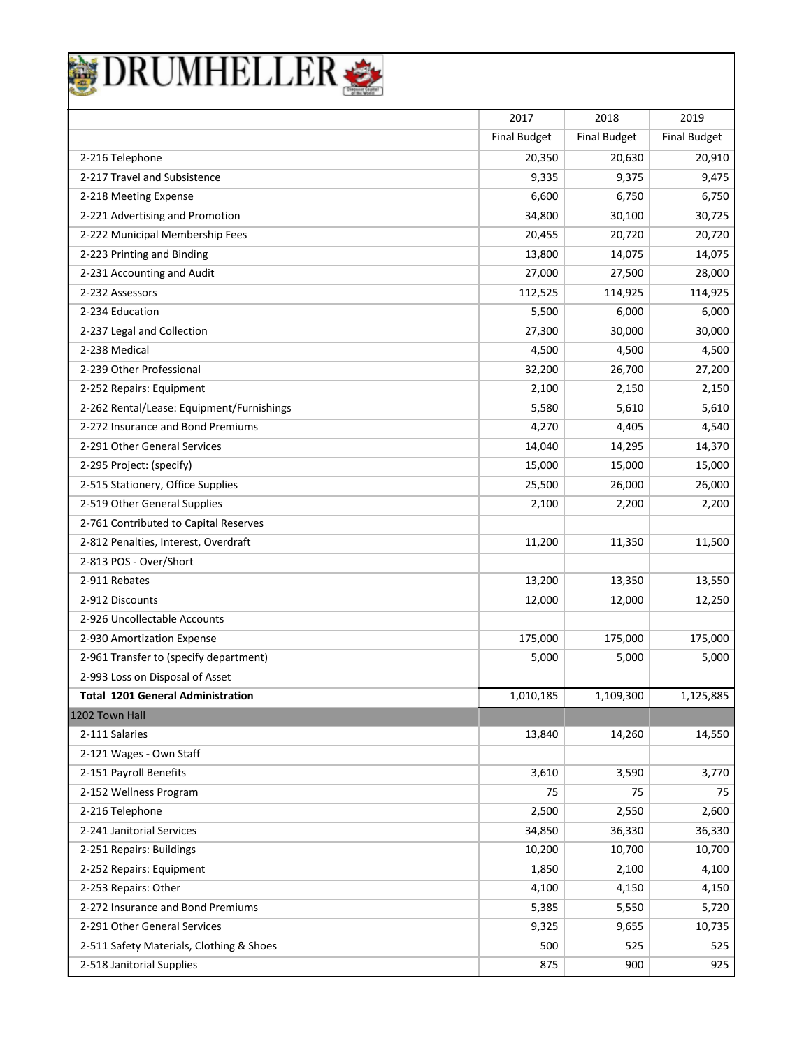|                                           | 2017                | 2018                | 2019                |
|-------------------------------------------|---------------------|---------------------|---------------------|
|                                           | <b>Final Budget</b> | <b>Final Budget</b> | <b>Final Budget</b> |
| 2-216 Telephone                           | 20,350              | 20,630              | 20,910              |
| 2-217 Travel and Subsistence              | 9,335               | 9,375               | 9,475               |
| 2-218 Meeting Expense                     | 6,600               | 6,750               | 6,750               |
| 2-221 Advertising and Promotion           | 34,800              | 30,100              | 30,725              |
| 2-222 Municipal Membership Fees           | 20,455              | 20,720              | 20,720              |
| 2-223 Printing and Binding                | 13,800              | 14,075              | 14,075              |
| 2-231 Accounting and Audit                | 27,000              | 27,500              | 28,000              |
| 2-232 Assessors                           | 112,525             | 114,925             | 114,925             |
| 2-234 Education                           | 5,500               | 6,000               | 6,000               |
| 2-237 Legal and Collection                | 27,300              | 30,000              | 30,000              |
| 2-238 Medical                             | 4,500               | 4,500               | 4,500               |
| 2-239 Other Professional                  | 32,200              | 26,700              | 27,200              |
| 2-252 Repairs: Equipment                  | 2,100               | 2,150               | 2,150               |
| 2-262 Rental/Lease: Equipment/Furnishings | 5,580               | 5,610               | 5,610               |
| 2-272 Insurance and Bond Premiums         | 4,270               | 4,405               | 4,540               |
| 2-291 Other General Services              | 14,040              | 14,295              | 14,370              |
| 2-295 Project: (specify)                  | 15,000              | 15,000              | 15,000              |
| 2-515 Stationery, Office Supplies         | 25,500              | 26,000              | 26,000              |
| 2-519 Other General Supplies              | 2,100               | 2,200               | 2,200               |
| 2-761 Contributed to Capital Reserves     |                     |                     |                     |
| 2-812 Penalties, Interest, Overdraft      | 11,200              | 11,350              | 11,500              |
| 2-813 POS - Over/Short                    |                     |                     |                     |
| 2-911 Rebates                             | 13,200              | 13,350              | 13,550              |
| 2-912 Discounts                           | 12,000              | 12,000              | 12,250              |
| 2-926 Uncollectable Accounts              |                     |                     |                     |
| 2-930 Amortization Expense                | 175,000             | 175,000             | 175,000             |
| 2-961 Transfer to (specify department)    | 5,000               | 5,000               | 5,000               |
| 2-993 Loss on Disposal of Asset           |                     |                     |                     |
| <b>Total 1201 General Administration</b>  | 1,010,185           | 1,109,300           | 1,125,885           |
| 1202 Town Hall                            |                     |                     |                     |
| 2-111 Salaries                            | 13,840              | 14,260              | 14,550              |
| 2-121 Wages - Own Staff                   |                     |                     |                     |
| 2-151 Payroll Benefits                    | 3,610               | 3,590               | 3,770               |
| 2-152 Wellness Program                    | 75                  | 75                  | 75                  |
| 2-216 Telephone                           | 2,500               | 2,550               | 2,600               |
| 2-241 Janitorial Services                 | 34,850              | 36,330              | 36,330              |
| 2-251 Repairs: Buildings                  | 10,200              | 10,700              | 10,700              |
| 2-252 Repairs: Equipment                  | 1,850               | 2,100               | 4,100               |
| 2-253 Repairs: Other                      | 4,100               | 4,150               | 4,150               |
| 2-272 Insurance and Bond Premiums         | 5,385               | 5,550               | 5,720               |
| 2-291 Other General Services              | 9,325               | 9,655               | 10,735              |
| 2-511 Safety Materials, Clothing & Shoes  | 500                 | 525                 | 525                 |
| 2-518 Janitorial Supplies                 | 875                 | 900                 | 925                 |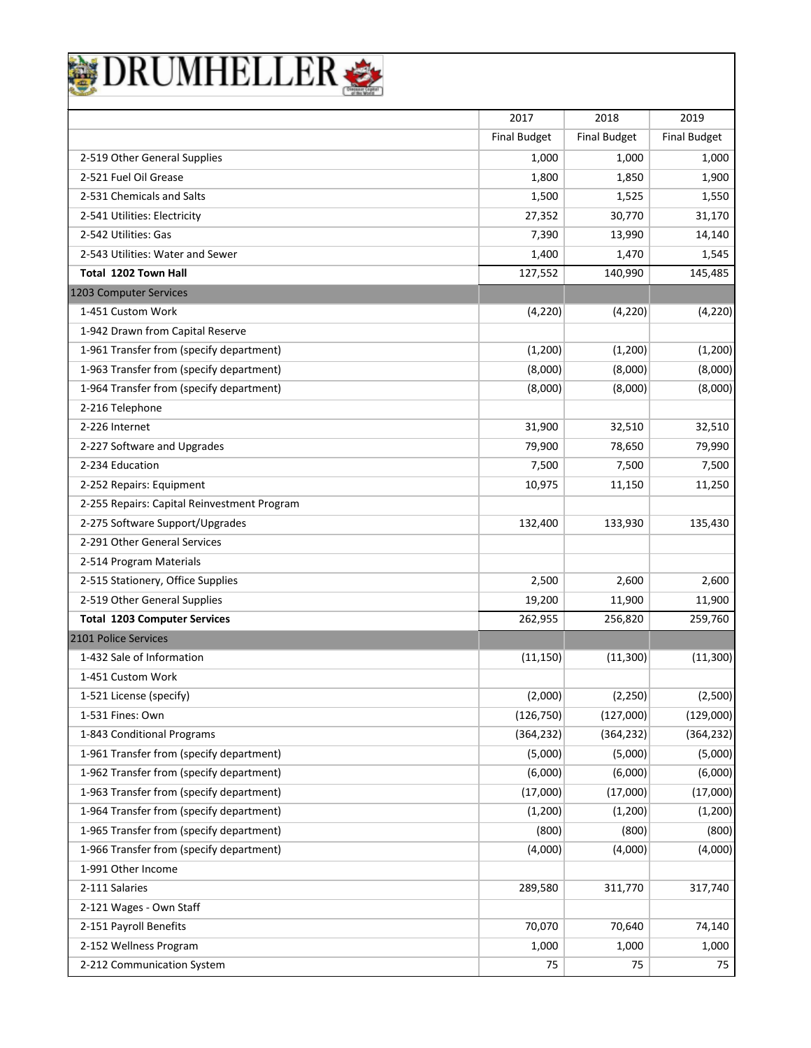|                                                       |                             | 2018                |                             |
|-------------------------------------------------------|-----------------------------|---------------------|-----------------------------|
|                                                       | 2017<br><b>Final Budget</b> | <b>Final Budget</b> | 2019<br><b>Final Budget</b> |
|                                                       |                             |                     |                             |
| 2-519 Other General Supplies<br>2-521 Fuel Oil Grease | 1,000                       | 1,000               | 1,000                       |
| 2-531 Chemicals and Salts                             | 1,800                       | 1,850               | 1,900                       |
|                                                       | 1,500                       | 1,525               | 1,550                       |
| 2-541 Utilities: Electricity<br>2-542 Utilities: Gas  | 27,352                      | 30,770              | 31,170                      |
| 2-543 Utilities: Water and Sewer                      | 7,390                       | 13,990              | 14,140                      |
| <b>Total 1202 Town Hall</b>                           | 1,400                       | 1,470               | 1,545                       |
| 1203 Computer Services                                | 127,552                     | 140,990             | 145,485                     |
| 1-451 Custom Work                                     | (4,220)                     | (4, 220)            | (4,220)                     |
| 1-942 Drawn from Capital Reserve                      |                             |                     |                             |
| 1-961 Transfer from (specify department)              | (1,200)                     | (1,200)             | (1,200)                     |
| 1-963 Transfer from (specify department)              | (8,000)                     | (8,000)             | (8,000)                     |
| 1-964 Transfer from (specify department)              | (8,000)                     | (8,000)             | (8,000)                     |
| 2-216 Telephone                                       |                             |                     |                             |
| 2-226 Internet                                        | 31,900                      | 32,510              | 32,510                      |
| 2-227 Software and Upgrades                           | 79,900                      | 78,650              | 79,990                      |
| 2-234 Education                                       | 7,500                       | 7,500               | 7,500                       |
| 2-252 Repairs: Equipment                              | 10,975                      | 11,150              | 11,250                      |
| 2-255 Repairs: Capital Reinvestment Program           |                             |                     |                             |
| 2-275 Software Support/Upgrades                       | 132,400                     | 133,930             | 135,430                     |
| 2-291 Other General Services                          |                             |                     |                             |
| 2-514 Program Materials                               |                             |                     |                             |
| 2-515 Stationery, Office Supplies                     | 2,500                       | 2,600               | 2,600                       |
| 2-519 Other General Supplies                          | 19,200                      | 11,900              | 11,900                      |
| <b>Total 1203 Computer Services</b>                   | 262,955                     | 256,820             | 259,760                     |
| 2101 Police Services                                  |                             |                     |                             |
| 1-432 Sale of Information                             | (11, 150)                   | (11, 300)           | (11, 300)                   |
| 1-451 Custom Work                                     |                             |                     |                             |
| 1-521 License (specify)                               | (2,000)                     | (2, 250)            | (2,500)                     |
| 1-531 Fines: Own                                      | (126, 750)                  | (127,000)           | (129,000)                   |
| 1-843 Conditional Programs                            | (364, 232)                  | (364, 232)          | (364, 232)                  |
| 1-961 Transfer from (specify department)              | (5,000)                     | (5,000)             | (5,000)                     |
| 1-962 Transfer from (specify department)              | (6,000)                     | (6,000)             | (6,000)                     |
| 1-963 Transfer from (specify department)              | (17,000)                    | (17,000)            | (17,000)                    |
| 1-964 Transfer from (specify department)              | (1,200)                     | (1,200)             | (1,200)                     |
| 1-965 Transfer from (specify department)              | (800)                       | (800)               | (800)                       |
| 1-966 Transfer from (specify department)              | (4,000)                     | (4,000)             | (4,000)                     |
| 1-991 Other Income                                    |                             |                     |                             |
| 2-111 Salaries                                        | 289,580                     | 311,770             | 317,740                     |
| 2-121 Wages - Own Staff                               |                             |                     |                             |
| 2-151 Payroll Benefits                                | 70,070                      | 70,640              | 74,140                      |
| 2-152 Wellness Program                                | 1,000                       | 1,000               | 1,000                       |
| 2-212 Communication System                            | 75                          | 75                  | 75                          |

ן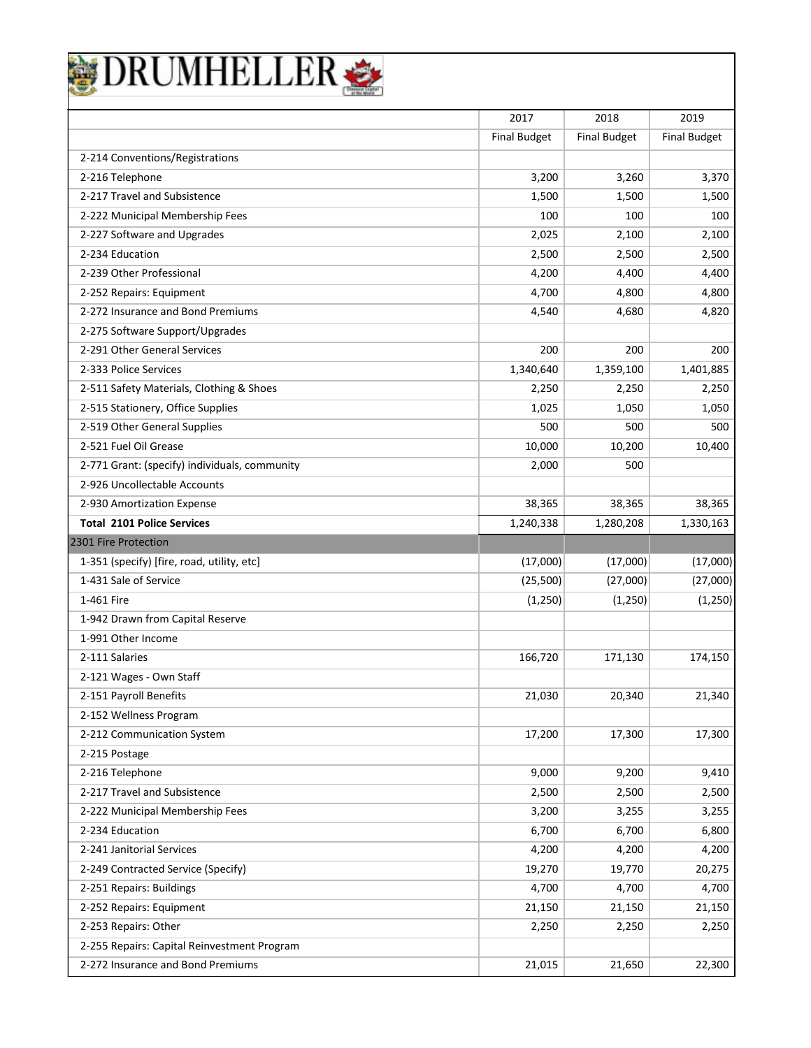| DRUMHELLEI                                    |                     |                     |                     |
|-----------------------------------------------|---------------------|---------------------|---------------------|
|                                               | 2017                | 2018                | 2019                |
|                                               | <b>Final Budget</b> | <b>Final Budget</b> | <b>Final Budget</b> |
| 2-214 Conventions/Registrations               |                     |                     |                     |
| 2-216 Telephone                               | 3,200               | 3,260               | 3,370               |
| 2-217 Travel and Subsistence                  | 1,500               | 1,500               | 1,500               |
| 2-222 Municipal Membership Fees               | 100                 | 100                 | 100                 |
| 2-227 Software and Upgrades                   | 2,025               | 2,100               | 2,100               |
| 2-234 Education                               | 2,500               | 2,500               | 2,500               |
| 2-239 Other Professional                      | 4,200               | 4,400               | 4,400               |
| 2-252 Repairs: Equipment                      | 4,700               | 4,800               | 4,800               |
| 2-272 Insurance and Bond Premiums             | 4,540               | 4,680               | 4,820               |
| 2-275 Software Support/Upgrades               |                     |                     |                     |
| 2-291 Other General Services                  | 200                 | 200                 | 200                 |
| 2-333 Police Services                         | 1,340,640           | 1,359,100           | 1,401,885           |
| 2-511 Safety Materials, Clothing & Shoes      | 2,250               | 2,250               | 2,250               |
| 2-515 Stationery, Office Supplies             | 1,025               | 1,050               | 1,050               |
| 2-519 Other General Supplies                  | 500                 | 500                 | 500                 |
| 2-521 Fuel Oil Grease                         | 10,000              | 10,200              | 10,400              |
| 2-771 Grant: (specify) individuals, community | 2,000               | 500                 |                     |
| 2-926 Uncollectable Accounts                  |                     |                     |                     |
| 2-930 Amortization Expense                    | 38,365              | 38,365              | 38,365              |
| <b>Total 2101 Police Services</b>             | 1,240,338           | 1,280,208           | 1,330,163           |
| 2301 Fire Protection                          |                     |                     |                     |
| 1-351 (specify) [fire, road, utility, etc]    | (17,000)            | (17,000)            | (17,000)            |
| 1-431 Sale of Service                         | (25,500)            | (27,000)            | (27,000)            |
| 1-461 Fire                                    | (1, 250)            | (1, 250)            | (1, 250)            |
| 1-942 Drawn from Capital Reserve              |                     |                     |                     |
| 1-991 Other Income                            |                     |                     |                     |
| 2-111 Salaries                                | 166,720             | 171,130             | 174,150             |
| 2-121 Wages - Own Staff                       |                     |                     |                     |
| 2-151 Payroll Benefits                        | 21,030              | 20,340              | 21,340              |
| 2-152 Wellness Program                        |                     |                     |                     |
| 2-212 Communication System                    | 17,200              | 17,300              | 17,300              |
| 2-215 Postage                                 |                     |                     |                     |
| 2-216 Telephone                               | 9,000               | 9,200               | 9,410               |
| 2-217 Travel and Subsistence                  | 2,500               | 2,500               | 2,500               |
| 2-222 Municipal Membership Fees               | 3,200               | 3,255               | 3,255               |
| 2-234 Education                               | 6,700               | 6,700               | 6,800               |
| 2-241 Janitorial Services                     | 4,200               | 4,200               | 4,200               |
| 2-249 Contracted Service (Specify)            | 19,270              | 19,770              | 20,275              |
| 2-251 Repairs: Buildings                      | 4,700               | 4,700               | 4,700               |
| 2-252 Repairs: Equipment                      | 21,150              | 21,150              | 21,150              |
| 2-253 Repairs: Other                          | 2,250               | 2,250               | 2,250               |
| 2-255 Repairs: Capital Reinvestment Program   |                     |                     |                     |
| 2-272 Insurance and Bond Premiums             | 21,015              | 21,650              | 22,300              |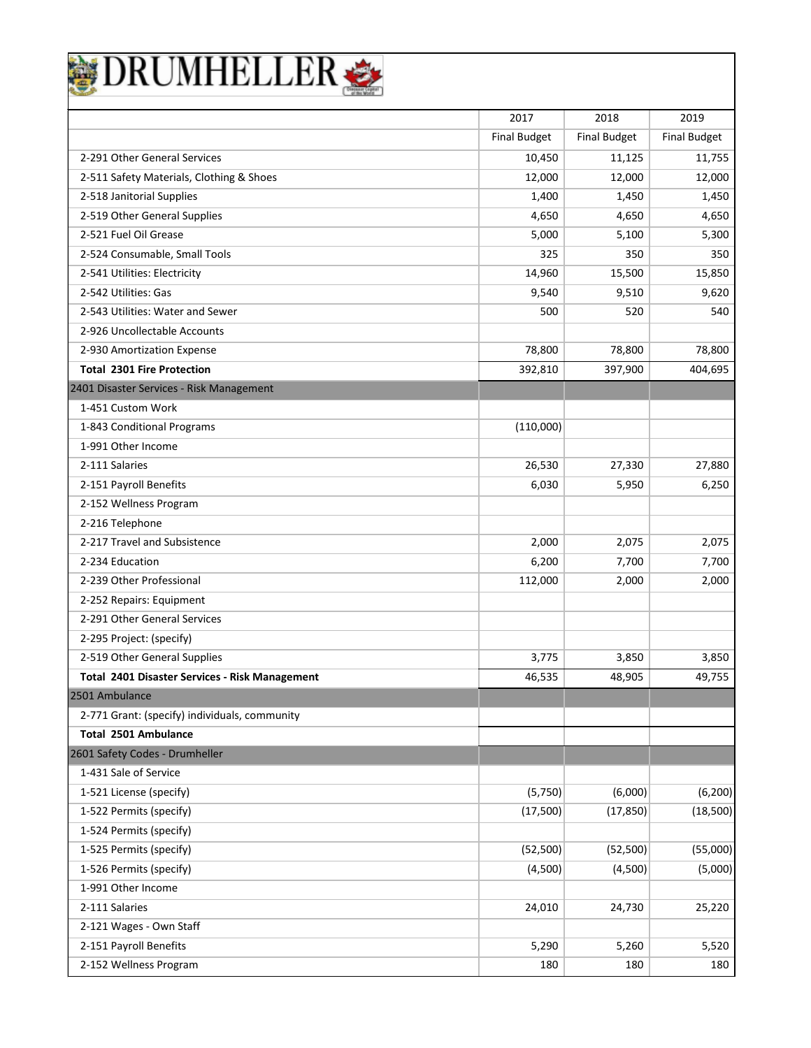| <b>DRUMHELLER</b> |  |
|-------------------|--|
|                   |  |

|                                                | 2017                | 2018                | 2019                |
|------------------------------------------------|---------------------|---------------------|---------------------|
|                                                | <b>Final Budget</b> | <b>Final Budget</b> | <b>Final Budget</b> |
| 2-291 Other General Services                   | 10,450              | 11,125              | 11,755              |
| 2-511 Safety Materials, Clothing & Shoes       | 12,000              | 12,000              | 12,000              |
| 2-518 Janitorial Supplies                      | 1,400               | 1,450               | 1,450               |
| 2-519 Other General Supplies                   | 4,650               | 4,650               | 4,650               |
| 2-521 Fuel Oil Grease                          | 5,000               | 5,100               | 5,300               |
| 2-524 Consumable, Small Tools                  | 325                 | 350                 | 350                 |
| 2-541 Utilities: Electricity                   | 14,960              | 15,500              | 15,850              |
| 2-542 Utilities: Gas                           | 9,540               | 9,510               | 9,620               |
| 2-543 Utilities: Water and Sewer               | 500                 | 520                 | 540                 |
| 2-926 Uncollectable Accounts                   |                     |                     |                     |
| 2-930 Amortization Expense                     | 78,800              | 78,800              | 78,800              |
| <b>Total 2301 Fire Protection</b>              | 392,810             | 397,900             | 404,695             |
| 2401 Disaster Services - Risk Management       |                     |                     |                     |
| 1-451 Custom Work                              |                     |                     |                     |
| 1-843 Conditional Programs                     | (110,000)           |                     |                     |
| 1-991 Other Income                             |                     |                     |                     |
| 2-111 Salaries                                 | 26,530              | 27,330              | 27,880              |
| 2-151 Payroll Benefits                         | 6,030               | 5,950               | 6,250               |
| 2-152 Wellness Program                         |                     |                     |                     |
| 2-216 Telephone                                |                     |                     |                     |
| 2-217 Travel and Subsistence                   | 2,000               | 2,075               | 2,075               |
| 2-234 Education                                | 6,200               | 7,700               | 7,700               |
| 2-239 Other Professional                       | 112,000             | 2,000               | 2,000               |
| 2-252 Repairs: Equipment                       |                     |                     |                     |
| 2-291 Other General Services                   |                     |                     |                     |
| 2-295 Project: (specify)                       |                     |                     |                     |
| 2-519 Other General Supplies                   | 3.775               | 3,850               | 3,850               |
| Total 2401 Disaster Services - Risk Management | 46,535              | 48,905              | 49,755              |
| 2501 Ambulance                                 |                     |                     |                     |
| 2-771 Grant: (specify) individuals, community  |                     |                     |                     |
| Total 2501 Ambulance                           |                     |                     |                     |
| 2601 Safety Codes - Drumheller                 |                     |                     |                     |
| 1-431 Sale of Service                          |                     |                     |                     |
| 1-521 License (specify)                        | (5,750)             | (6,000)             | (6, 200)            |
| 1-522 Permits (specify)                        | (17,500)            | (17, 850)           | (18,500)            |
| 1-524 Permits (specify)                        |                     |                     |                     |
| 1-525 Permits (specify)                        | (52, 500)           | (52, 500)           | (55,000)            |
| 1-526 Permits (specify)                        | (4,500)             | (4,500)             | (5,000)             |
| 1-991 Other Income                             |                     |                     |                     |
| 2-111 Salaries                                 | 24,010              | 24,730              | 25,220              |
| 2-121 Wages - Own Staff                        |                     |                     |                     |
| 2-151 Payroll Benefits                         | 5,290               | 5,260               | 5,520               |
| 2-152 Wellness Program                         | 180                 | 180                 | 180                 |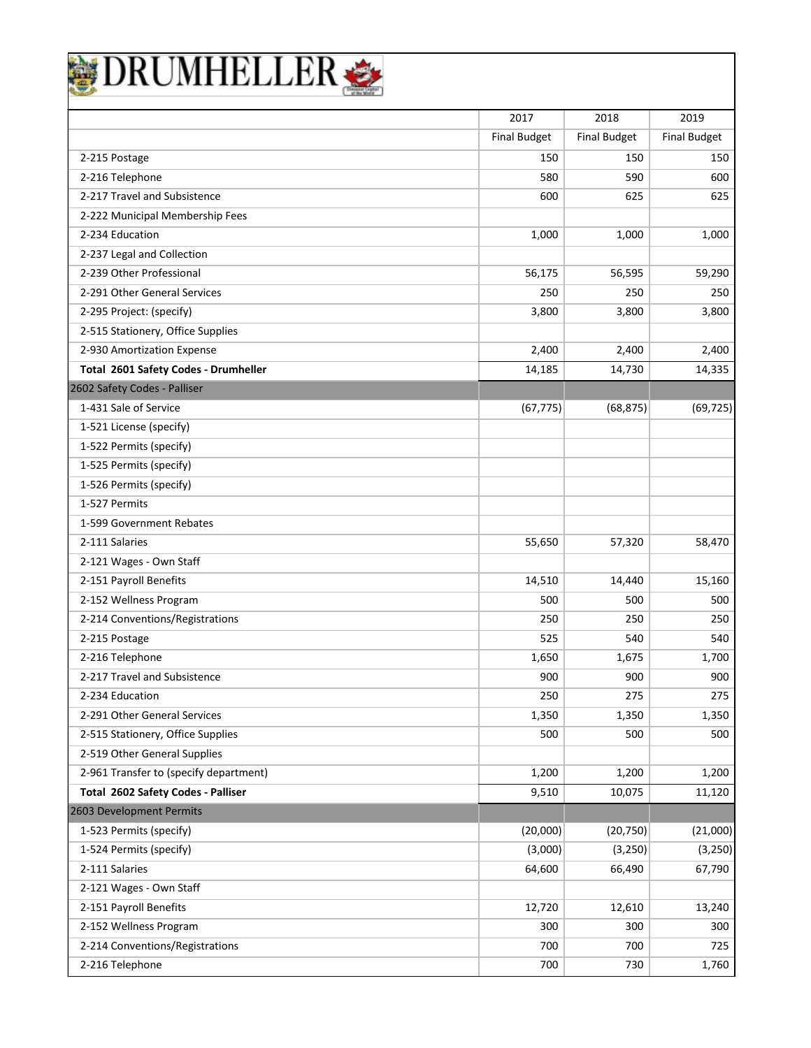|                                        | 2017                | 2018                | 2019                |
|----------------------------------------|---------------------|---------------------|---------------------|
|                                        | <b>Final Budget</b> | <b>Final Budget</b> | <b>Final Budget</b> |
| 2-215 Postage                          | 150                 | 150                 | 150                 |
| 2-216 Telephone                        | 580                 | 590                 | 600                 |
| 2-217 Travel and Subsistence           | 600                 | 625                 | 625                 |
| 2-222 Municipal Membership Fees        |                     |                     |                     |
| 2-234 Education                        | 1,000               | 1,000               | 1,000               |
| 2-237 Legal and Collection             |                     |                     |                     |
| 2-239 Other Professional               | 56,175              | 56,595              | 59,290              |
| 2-291 Other General Services           | 250                 | 250                 | 250                 |
| 2-295 Project: (specify)               | 3,800               | 3,800               | 3,800               |
| 2-515 Stationery, Office Supplies      |                     |                     |                     |
| 2-930 Amortization Expense             | 2,400               | 2,400               | 2,400               |
| Total 2601 Safety Codes - Drumheller   | 14,185              | 14,730              | 14,335              |
| 2602 Safety Codes - Palliser           |                     |                     |                     |
| 1-431 Sale of Service                  | (67, 775)           | (68, 875)           | (69, 725)           |
| 1-521 License (specify)                |                     |                     |                     |
| 1-522 Permits (specify)                |                     |                     |                     |
| 1-525 Permits (specify)                |                     |                     |                     |
| 1-526 Permits (specify)                |                     |                     |                     |
| 1-527 Permits                          |                     |                     |                     |
| 1-599 Government Rebates               |                     |                     |                     |
| 2-111 Salaries                         | 55,650              | 57,320              | 58,470              |
| 2-121 Wages - Own Staff                |                     |                     |                     |
| 2-151 Payroll Benefits                 | 14,510              | 14,440              | 15,160              |
| 2-152 Wellness Program                 | 500                 | 500                 | 500                 |
| 2-214 Conventions/Registrations        | 250                 | 250                 | 250                 |
| 2-215 Postage                          | 525                 | 540                 | 540                 |
| 2-216 Telephone                        | 1,650               | 1,675               | 1,700               |
| 2-217 Travel and Subsistence           | 900                 | 900                 | 900                 |
| 2-234 Education                        | 250                 | 275                 | 275                 |
| 2-291 Other General Services           | 1,350               | 1,350               | 1,350               |
| 2-515 Stationery, Office Supplies      | 500                 | 500                 | 500                 |
| 2-519 Other General Supplies           |                     |                     |                     |
| 2-961 Transfer to (specify department) | 1,200               | 1,200               | 1,200               |
| Total 2602 Safety Codes - Palliser     | 9,510               | 10,075              | 11,120              |
| 2603 Development Permits               |                     |                     |                     |
| 1-523 Permits (specify)                | (20,000)            | (20, 750)           | (21,000)            |
| 1-524 Permits (specify)                | (3,000)             | (3, 250)            | (3,250)             |
| 2-111 Salaries                         | 64,600              | 66,490              | 67,790              |
| 2-121 Wages - Own Staff                |                     |                     |                     |
| 2-151 Payroll Benefits                 | 12,720              | 12,610              | 13,240              |
| 2-152 Wellness Program                 | 300                 | 300                 | 300                 |
| 2-214 Conventions/Registrations        | 700                 | 700                 | 725                 |
| 2-216 Telephone                        | 700                 | 730                 | 1,760               |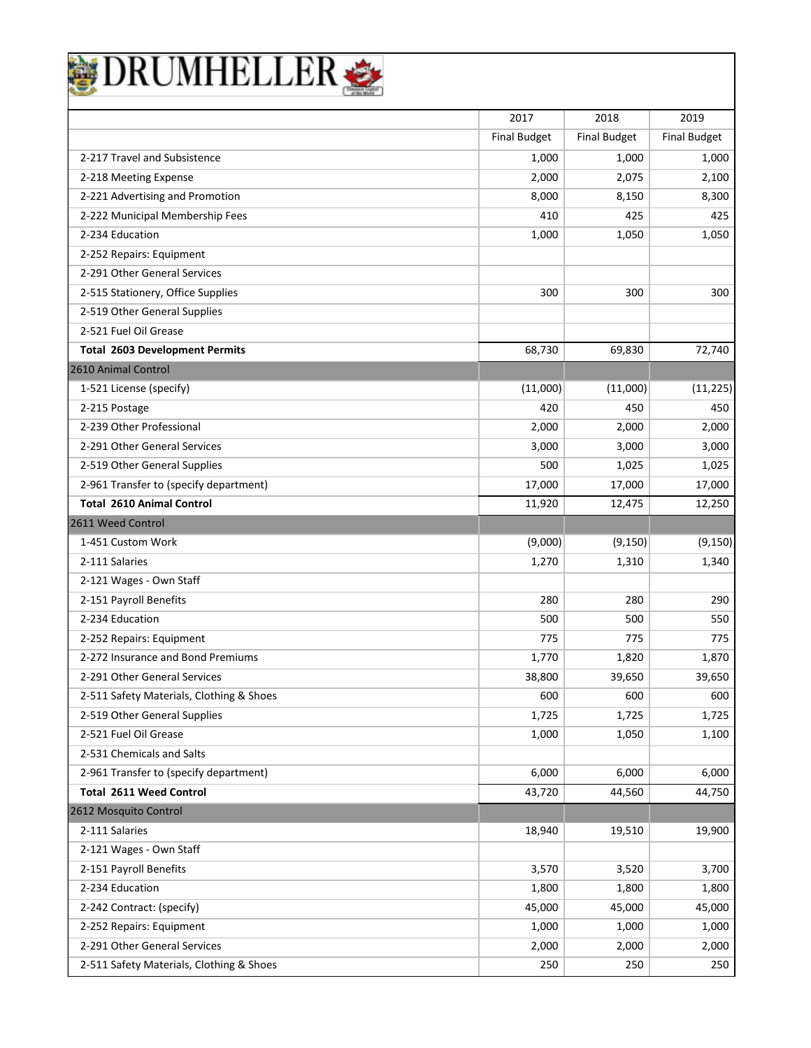| DRUMHELLER                               |                     |                     |                     |
|------------------------------------------|---------------------|---------------------|---------------------|
|                                          |                     |                     |                     |
|                                          | 2017                | 2018                | 2019                |
|                                          | <b>Final Budget</b> | <b>Final Budget</b> | <b>Final Budget</b> |
| 2-217 Travel and Subsistence             | 1,000               | 1,000               | 1,000               |
| 2-218 Meeting Expense                    | 2,000               | 2,075               | 2,100               |
| 2-221 Advertising and Promotion          | 8,000               | 8,150               | 8,300               |
| 2-222 Municipal Membership Fees          | 410                 | 425                 | 425                 |
| 2-234 Education                          | 1,000               | 1,050               | 1,050               |
| 2-252 Repairs: Equipment                 |                     |                     |                     |
| 2-291 Other General Services             |                     |                     |                     |
| 2-515 Stationery, Office Supplies        | 300                 | 300                 | 300                 |
| 2-519 Other General Supplies             |                     |                     |                     |
| 2-521 Fuel Oil Grease                    |                     |                     |                     |
| <b>Total 2603 Development Permits</b>    | 68,730              | 69,830              | 72,740              |
| 2610 Animal Control                      |                     |                     |                     |
| 1-521 License (specify)                  | (11,000)            | (11,000)            | (11, 225)           |
| 2-215 Postage                            | 420                 | 450                 | 450                 |
| 2-239 Other Professional                 | 2,000               | 2,000               | 2,000               |
| 2-291 Other General Services             | 3,000               | 3,000               | 3,000               |
| 2-519 Other General Supplies             | 500                 | 1,025               | 1,025               |
| 2-961 Transfer to (specify department)   | 17,000              | 17,000              | 17,000              |
| <b>Total 2610 Animal Control</b>         | 11,920              | 12,475              | 12,250              |
| 2611 Weed Control                        |                     |                     |                     |
| 1-451 Custom Work                        | (9,000)             | (9, 150)            | (9, 150)            |
| 2-111 Salaries                           | 1,270               | 1,310               | 1,340               |
| 2-121 Wages - Own Staff                  |                     |                     |                     |
| 2-151 Payroll Benefits                   | 280                 | 280                 | 290                 |
| 2-234 Education                          | 500                 | 500                 | 550                 |
| 2-252 Repairs: Equipment                 | 775                 | 775                 | 775                 |
| 2-272 Insurance and Bond Premiums        | 1,770               | 1,820               | 1,870               |
| 2-291 Other General Services             | 38,800              | 39,650              | 39,650              |
| 2-511 Safety Materials, Clothing & Shoes | 600                 | 600                 | 600                 |
| 2-519 Other General Supplies             | 1,725               | 1,725               | 1,725               |
| 2-521 Fuel Oil Grease                    | 1,000               | 1,050               | 1,100               |
| 2-531 Chemicals and Salts                |                     |                     |                     |
| 2-961 Transfer to (specify department)   | 6,000               | 6,000               | 6,000               |
| <b>Total 2611 Weed Control</b>           | 43,720              | 44,560              | 44,750              |
| 2612 Mosquito Control                    |                     |                     |                     |
| 2-111 Salaries                           | 18,940              | 19,510              | 19,900              |
| 2-121 Wages - Own Staff                  |                     |                     |                     |
| 2-151 Payroll Benefits                   | 3,570               | 3,520               | 3,700               |
| 2-234 Education                          | 1,800               | 1,800               | 1,800               |
| 2-242 Contract: (specify)                | 45,000              | 45,000              | 45,000              |
| 2-252 Repairs: Equipment                 | 1,000               | 1,000               | 1,000               |
| 2-291 Other General Services             | 2,000               | 2,000               | 2,000               |
| 2-511 Safety Materials, Clothing & Shoes | 250                 | 250                 | 250                 |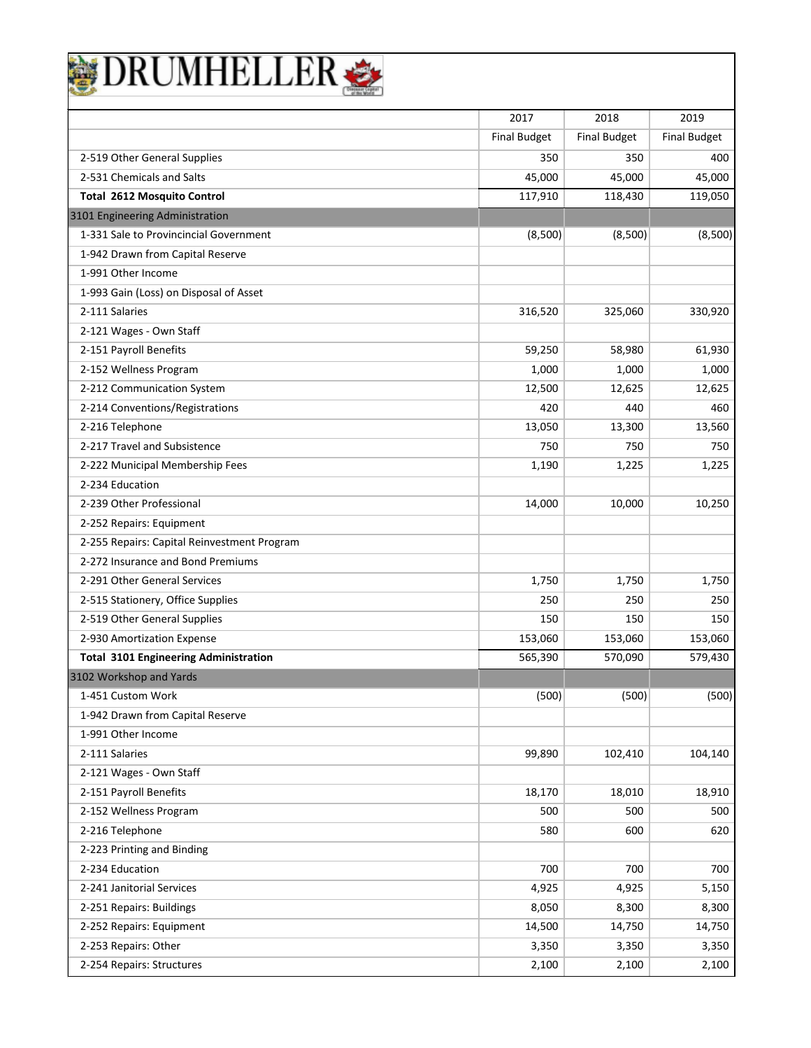| DRUMHELLER                                   |                     |                     |                     |
|----------------------------------------------|---------------------|---------------------|---------------------|
|                                              | 2017                | 2018                | 2019                |
|                                              | <b>Final Budget</b> | <b>Final Budget</b> | <b>Final Budget</b> |
| 2-519 Other General Supplies                 | 350                 | 350                 | 400                 |
| 2-531 Chemicals and Salts                    | 45,000              | 45,000              | 45,000              |
| <b>Total 2612 Mosquito Control</b>           | 117,910             | 118,430             | 119,050             |
| 3101 Engineering Administration              |                     |                     |                     |
| 1-331 Sale to Provincincial Government       | (8,500)             | (8,500)             | (8,500)             |
| 1-942 Drawn from Capital Reserve             |                     |                     |                     |
| 1-991 Other Income                           |                     |                     |                     |
| 1-993 Gain (Loss) on Disposal of Asset       |                     |                     |                     |
| 2-111 Salaries                               | 316,520             | 325,060             | 330,920             |
| 2-121 Wages - Own Staff                      |                     |                     |                     |
| 2-151 Payroll Benefits                       | 59,250              | 58,980              | 61,930              |
| 2-152 Wellness Program                       | 1,000               | 1,000               | 1,000               |
| 2-212 Communication System                   | 12,500              | 12,625              | 12,625              |
| 2-214 Conventions/Registrations              | 420                 | 440                 | 460                 |
| 2-216 Telephone                              | 13,050              | 13,300              | 13,560              |
| 2-217 Travel and Subsistence                 | 750                 | 750                 | 750                 |
| 2-222 Municipal Membership Fees              | 1,190               | 1,225               | 1,225               |
| 2-234 Education                              |                     |                     |                     |
| 2-239 Other Professional                     | 14,000              | 10,000              | 10,250              |
| 2-252 Repairs: Equipment                     |                     |                     |                     |
| 2-255 Repairs: Capital Reinvestment Program  |                     |                     |                     |
| 2-272 Insurance and Bond Premiums            |                     |                     |                     |
| 2-291 Other General Services                 | 1,750               | 1,750               | 1,750               |
| 2-515 Stationery, Office Supplies            | 250                 | 250                 | 250                 |
| 2-519 Other General Supplies                 | 150                 | 150                 | 150                 |
| 2-930 Amortization Expense                   | 153,060             | 153,060             | 153,060             |
| <b>Total 3101 Engineering Administration</b> | 565,390             | 570,090             | 579,430             |
| 3102 Workshop and Yards                      |                     |                     |                     |
| 1-451 Custom Work                            | (500)               | (500)               | (500)               |
| 1-942 Drawn from Capital Reserve             |                     |                     |                     |
| 1-991 Other Income                           |                     |                     |                     |
| 2-111 Salaries                               | 99,890              | 102,410             | 104,140             |
| 2-121 Wages - Own Staff                      |                     |                     |                     |
| 2-151 Payroll Benefits                       | 18,170              | 18,010              | 18,910              |
| 2-152 Wellness Program                       | 500                 | 500                 | 500                 |
| 2-216 Telephone                              | 580                 | 600                 | 620                 |
| 2-223 Printing and Binding                   |                     |                     |                     |
| 2-234 Education                              | 700                 | 700                 | 700                 |
| 2-241 Janitorial Services                    | 4,925               | 4,925               | 5,150               |
| 2-251 Repairs: Buildings                     | 8,050               | 8,300               | 8,300               |
| 2-252 Repairs: Equipment                     | 14,500              | 14,750              | 14,750              |
| 2-253 Repairs: Other                         | 3,350               | 3,350               | 3,350               |
| 2-254 Repairs: Structures                    | 2,100               | 2,100               | 2,100               |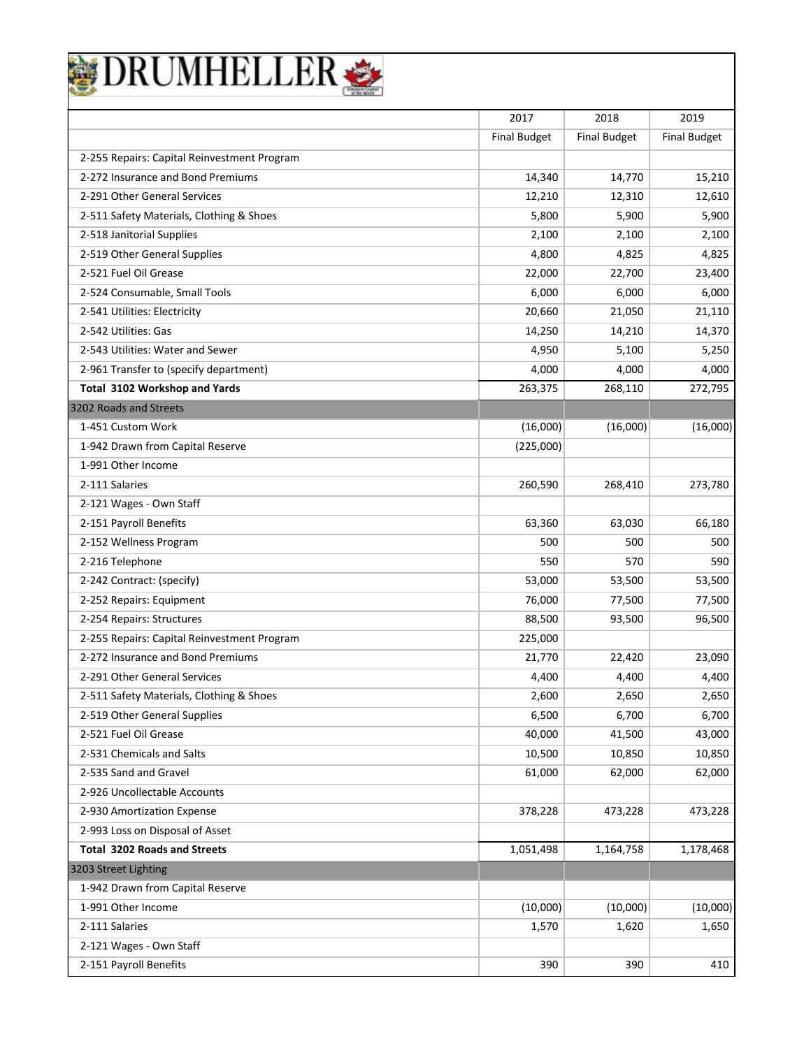

|                                             | 2017                | 2018                | 2019                |
|---------------------------------------------|---------------------|---------------------|---------------------|
|                                             | <b>Final Budget</b> | <b>Final Budget</b> | <b>Final Budget</b> |
| 2-255 Repairs: Capital Reinvestment Program |                     |                     |                     |
| 2-272 Insurance and Bond Premiums           | 14,340              | 14,770              | 15,210              |
| 2-291 Other General Services                | 12,210              | 12,310              | 12,610              |
| 2-511 Safety Materials, Clothing & Shoes    | 5,800               | 5,900               | 5,900               |
| 2-518 Janitorial Supplies                   | 2,100               | 2,100               | 2,100               |
| 2-519 Other General Supplies                | 4,800               | 4,825               | 4,825               |
| 2-521 Fuel Oil Grease                       | 22,000              | 22,700              | 23,400              |
| 2-524 Consumable, Small Tools               | 6,000               | 6,000               | 6,000               |
| 2-541 Utilities: Electricity                | 20,660              | 21,050              | 21,110              |
| 2-542 Utilities: Gas                        | 14,250              | 14,210              | 14,370              |
| 2-543 Utilities: Water and Sewer            | 4,950               | 5,100               | 5,250               |
| 2-961 Transfer to (specify department)      | 4,000               | 4,000               | 4,000               |
| Total 3102 Workshop and Yards               | 263,375             | 268,110             | 272,795             |
| 3202 Roads and Streets                      |                     |                     |                     |
| 1-451 Custom Work                           | (16,000)            | (16,000)            | (16,000)            |
| 1-942 Drawn from Capital Reserve            | (225,000)           |                     |                     |
| 1-991 Other Income                          |                     |                     |                     |
| 2-111 Salaries                              | 260,590             | 268,410             | 273,780             |
| 2-121 Wages - Own Staff                     |                     |                     |                     |
| 2-151 Payroll Benefits                      | 63,360              | 63,030              | 66,180              |
| 2-152 Wellness Program                      | 500                 | 500                 | 500                 |
| 2-216 Telephone                             | 550                 | 570                 | 590                 |
| 2-242 Contract: (specify)                   | 53,000              | 53,500              | 53,500              |
| 2-252 Repairs: Equipment                    | 76,000              | 77,500              | 77,500              |
| 2-254 Repairs: Structures                   | 88,500              | 93,500              | 96,500              |
| 2-255 Repairs: Capital Reinvestment Program | 225,000             |                     |                     |
| 2-272 Insurance and Bond Premiums           | 21,770              | 22,420              | 23,090              |
| 2-291 Other General Services                | 4,400               | 4,400               | 4,400               |
| 2-511 Safety Materials, Clothing & Shoes    | 2,600               | 2,650               | 2,650               |
| 2-519 Other General Supplies                | 6,500               | 6,700               | 6,700               |
| 2-521 Fuel Oil Grease                       | 40,000              | 41,500              | 43,000              |
| 2-531 Chemicals and Salts                   | 10,500              | 10,850              | 10,850              |
| 2-535 Sand and Gravel                       | 61,000              | 62,000              | 62,000              |
| 2-926 Uncollectable Accounts                |                     |                     |                     |
| 2-930 Amortization Expense                  | 378,228             | 473,228             | 473,228             |
| 2-993 Loss on Disposal of Asset             |                     |                     |                     |
| <b>Total 3202 Roads and Streets</b>         | 1,051,498           | 1,164,758           | 1,178,468           |
| 3203 Street Lighting                        |                     |                     |                     |
| 1-942 Drawn from Capital Reserve            |                     |                     |                     |
| 1-991 Other Income                          | (10,000)            | (10,000)            | (10,000)            |
| 2-111 Salaries                              | 1,570               | 1,620               | 1,650               |
| 2-121 Wages - Own Staff                     |                     |                     |                     |
| 2-151 Payroll Benefits                      | 390                 | 390                 | 410                 |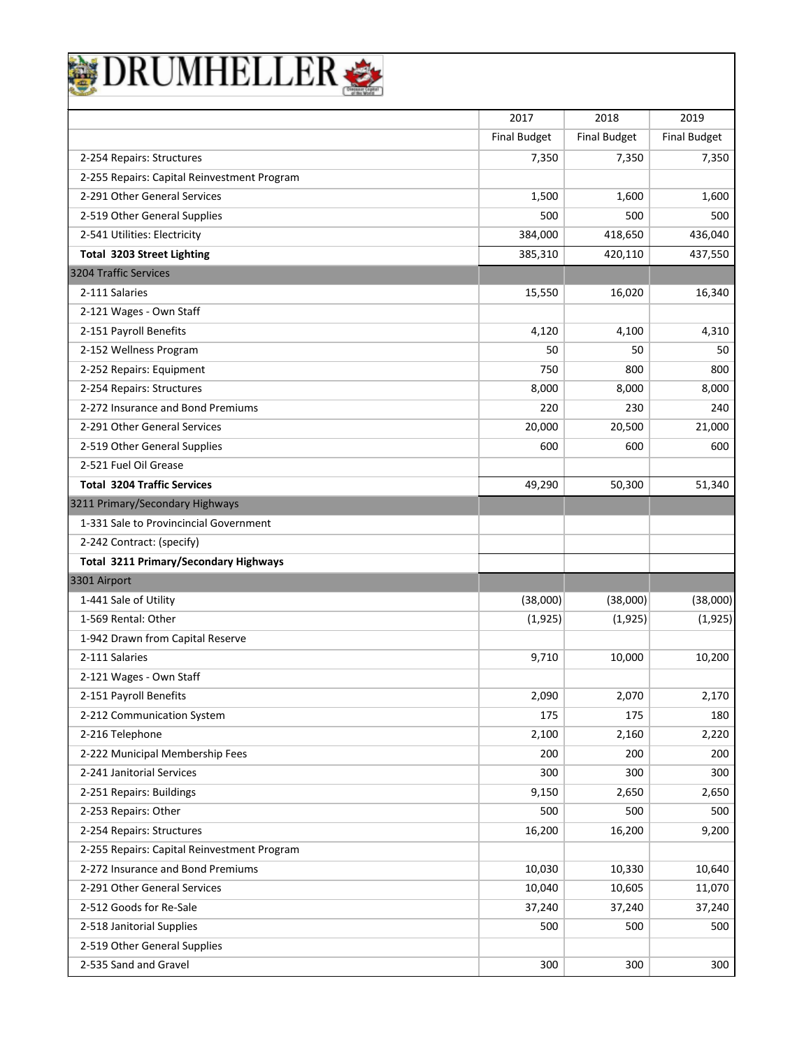| DRUMHELLER                                   |                     |                     |                     |
|----------------------------------------------|---------------------|---------------------|---------------------|
|                                              |                     |                     |                     |
|                                              | 2017                | 2018                | 2019                |
|                                              | <b>Final Budget</b> | <b>Final Budget</b> | <b>Final Budget</b> |
| 2-254 Repairs: Structures                    | 7,350               | 7,350               | 7,350               |
| 2-255 Repairs: Capital Reinvestment Program  |                     |                     |                     |
| 2-291 Other General Services                 | 1,500               | 1,600               | 1,600               |
| 2-519 Other General Supplies                 | 500                 | 500                 | 500                 |
| 2-541 Utilities: Electricity                 | 384,000             | 418,650             | 436,040             |
| <b>Total 3203 Street Lighting</b>            | 385,310             | 420,110             | 437,550             |
| 3204 Traffic Services                        |                     |                     |                     |
| 2-111 Salaries                               | 15,550              | 16,020              | 16,340              |
| 2-121 Wages - Own Staff                      |                     |                     |                     |
| 2-151 Payroll Benefits                       | 4,120               | 4,100               | 4,310               |
| 2-152 Wellness Program                       | 50                  | 50                  | 50                  |
| 2-252 Repairs: Equipment                     | 750                 | 800                 | 800                 |
| 2-254 Repairs: Structures                    | 8,000               | 8,000               | 8,000               |
| 2-272 Insurance and Bond Premiums            | 220                 | 230                 | 240                 |
| 2-291 Other General Services                 | 20,000              | 20,500              | 21,000              |
| 2-519 Other General Supplies                 | 600                 | 600                 | 600                 |
| 2-521 Fuel Oil Grease                        |                     |                     |                     |
| <b>Total 3204 Traffic Services</b>           | 49,290              | 50,300              | 51,340              |
| 3211 Primary/Secondary Highways              |                     |                     |                     |
| 1-331 Sale to Provincincial Government       |                     |                     |                     |
| 2-242 Contract: (specify)                    |                     |                     |                     |
| <b>Total 3211 Primary/Secondary Highways</b> |                     |                     |                     |
| 3301 Airport                                 |                     |                     |                     |
| 1-441 Sale of Utility                        | (38,000)            | (38,000)            | (38,000)            |
| 1-569 Rental: Other                          | (1,925)             | (1,925)             | (1,925)             |
| 1-942 Drawn from Capital Reserve             |                     |                     |                     |
| 2-111 Salaries                               | 9,710               | 10,000              | 10,200              |
| 2-121 Wages - Own Staff                      |                     |                     |                     |
| 2-151 Payroll Benefits                       | 2,090               | 2,070               | 2,170               |
| 2-212 Communication System                   | 175                 | 175                 | 180                 |
| 2-216 Telephone                              | 2,100               | 2,160               | 2,220               |
| 2-222 Municipal Membership Fees              | 200                 | 200                 | 200                 |
| 2-241 Janitorial Services                    | 300                 | 300                 | 300                 |
| 2-251 Repairs: Buildings                     | 9,150               | 2,650               | 2,650               |
| 2-253 Repairs: Other                         | 500                 | 500                 | 500                 |
| 2-254 Repairs: Structures                    | 16,200              | 16,200              | 9,200               |
| 2-255 Repairs: Capital Reinvestment Program  |                     |                     |                     |
| 2-272 Insurance and Bond Premiums            | 10,030              | 10,330              | 10,640              |
| 2-291 Other General Services                 | 10,040              | 10,605              | 11,070              |
| 2-512 Goods for Re-Sale                      | 37,240              | 37,240              | 37,240              |
| 2-518 Janitorial Supplies                    | 500                 | 500                 | 500                 |
| 2-519 Other General Supplies                 |                     |                     |                     |
| 2-535 Sand and Gravel                        | 300                 | 300                 | 300                 |

 $\overline{\phantom{a}}$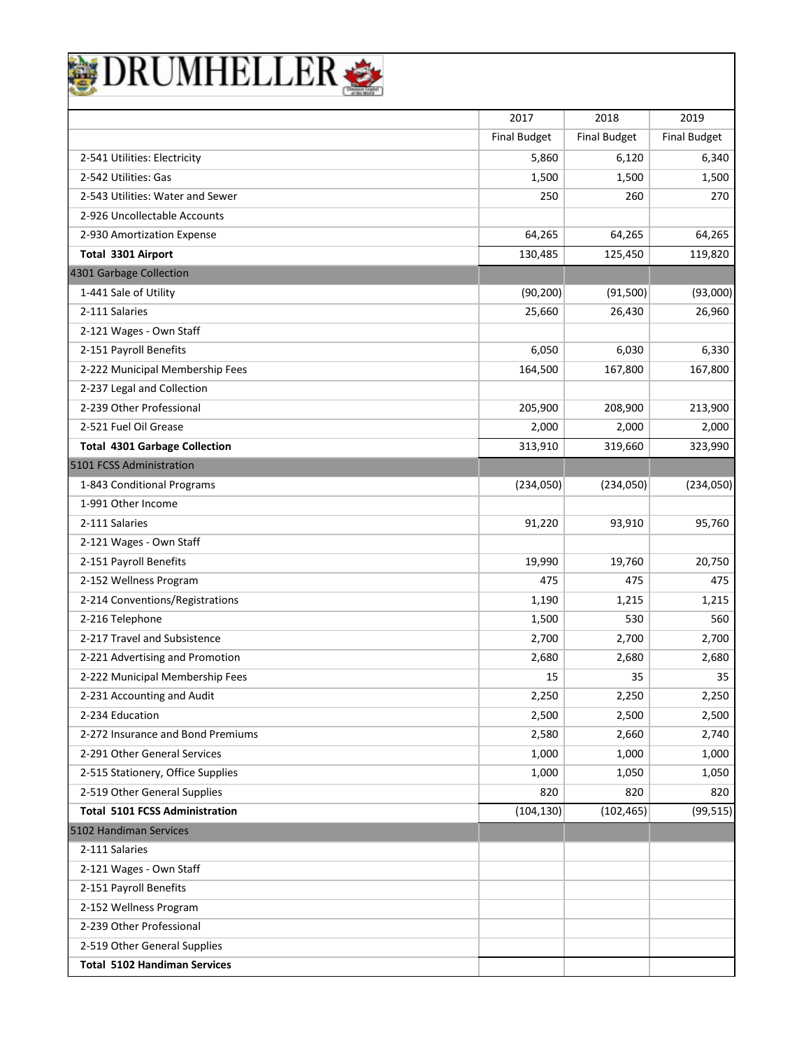|                                       | 2017                | 2018                | 2019                |
|---------------------------------------|---------------------|---------------------|---------------------|
|                                       | <b>Final Budget</b> | <b>Final Budget</b> | <b>Final Budget</b> |
| 2-541 Utilities: Electricity          | 5,860               | 6,120               | 6,340               |
| 2-542 Utilities: Gas                  | 1,500               | 1,500               | 1,500               |
| 2-543 Utilities: Water and Sewer      | 250                 | 260                 | 270                 |
| 2-926 Uncollectable Accounts          |                     |                     |                     |
| 2-930 Amortization Expense            | 64,265              | 64,265              | 64,265              |
| Total 3301 Airport                    | 130,485             | 125,450             | 119,820             |
| 4301 Garbage Collection               |                     |                     |                     |
| 1-441 Sale of Utility                 | (90, 200)           | (91,500)            | (93,000)            |
| 2-111 Salaries                        | 25,660              | 26,430              | 26,960              |
| 2-121 Wages - Own Staff               |                     |                     |                     |
| 2-151 Payroll Benefits                | 6,050               | 6,030               | 6,330               |
| 2-222 Municipal Membership Fees       | 164,500             | 167,800             | 167,800             |
| 2-237 Legal and Collection            |                     |                     |                     |
| 2-239 Other Professional              | 205,900             | 208,900             | 213,900             |
| 2-521 Fuel Oil Grease                 | 2,000               | 2,000               | 2,000               |
| <b>Total 4301 Garbage Collection</b>  | 313,910             | 319,660             | 323,990             |
| 5101 FCSS Administration              |                     |                     |                     |
| 1-843 Conditional Programs            | (234,050)           | (234,050)           | (234,050)           |
| 1-991 Other Income                    |                     |                     |                     |
| 2-111 Salaries                        | 91,220              | 93,910              | 95,760              |
| 2-121 Wages - Own Staff               |                     |                     |                     |
| 2-151 Payroll Benefits                | 19,990              | 19,760              | 20,750              |
| 2-152 Wellness Program                | 475                 | 475                 | 475                 |
| 2-214 Conventions/Registrations       | 1,190               | 1,215               | 1,215               |
| 2-216 Telephone                       | 1,500               | 530                 | 560                 |
| 2-217 Travel and Subsistence          | 2,700               | 2,700               | 2,700               |
| 2-221 Advertising and Promotion       | 2,680               | 2,680               | 2,680               |
| 2-222 Municipal Membership Fees       | 15                  | 35                  | 35                  |
| 2-231 Accounting and Audit            | 2,250               | 2,250               | 2,250               |
| 2-234 Education                       | 2,500               | 2,500               | 2,500               |
| 2-272 Insurance and Bond Premiums     | 2,580               | 2,660               | 2,740               |
| 2-291 Other General Services          | 1,000               | 1,000               | 1,000               |
| 2-515 Stationery, Office Supplies     | 1,000               | 1,050               | 1,050               |
| 2-519 Other General Supplies          | 820                 | 820                 | 820                 |
| <b>Total 5101 FCSS Administration</b> | (104, 130)          | (102, 465)          | (99, 515)           |
| 5102 Handiman Services                |                     |                     |                     |
| 2-111 Salaries                        |                     |                     |                     |
| 2-121 Wages - Own Staff               |                     |                     |                     |
| 2-151 Payroll Benefits                |                     |                     |                     |
| 2-152 Wellness Program                |                     |                     |                     |
| 2-239 Other Professional              |                     |                     |                     |
| 2-519 Other General Supplies          |                     |                     |                     |
| <b>Total 5102 Handiman Services</b>   |                     |                     |                     |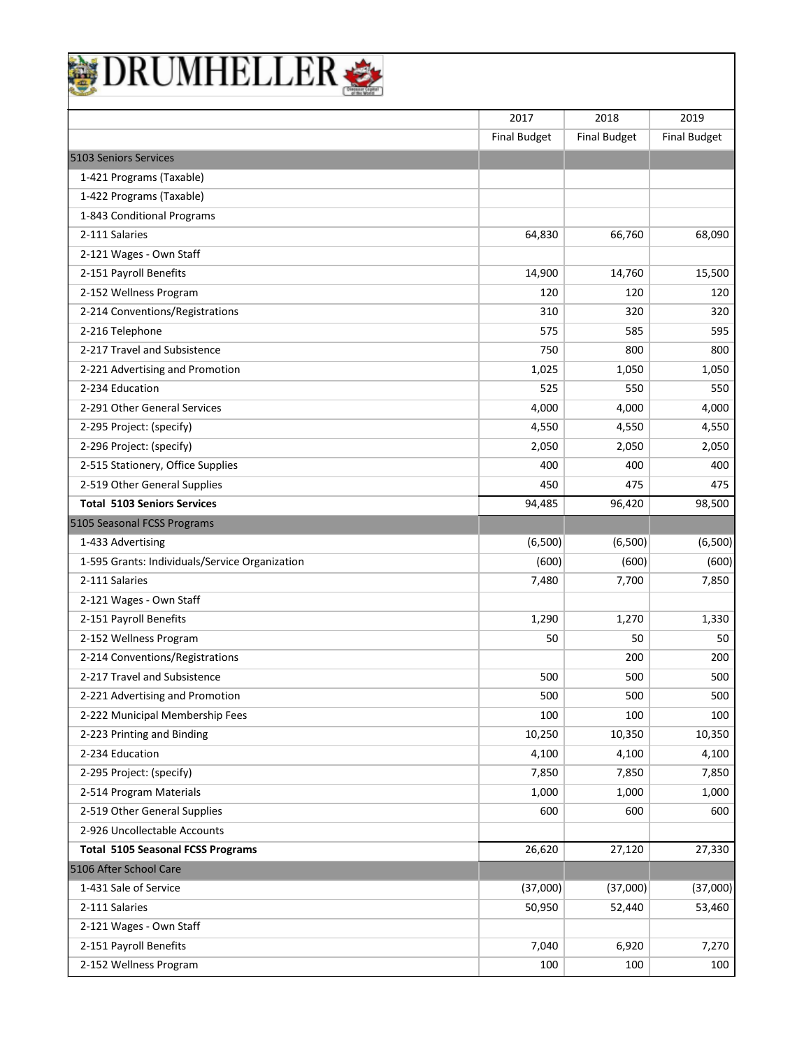| DRUMHELLEF                                     |                     |                     |                     |
|------------------------------------------------|---------------------|---------------------|---------------------|
|                                                | 2017                | 2018                | 2019                |
|                                                | <b>Final Budget</b> | <b>Final Budget</b> | <b>Final Budget</b> |
| 5103 Seniors Services                          |                     |                     |                     |
| 1-421 Programs (Taxable)                       |                     |                     |                     |
| 1-422 Programs (Taxable)                       |                     |                     |                     |
| 1-843 Conditional Programs                     |                     |                     |                     |
| 2-111 Salaries                                 | 64,830              | 66,760              | 68,090              |
| 2-121 Wages - Own Staff                        |                     |                     |                     |
| 2-151 Payroll Benefits                         | 14,900              | 14,760              | 15,500              |
| 2-152 Wellness Program                         | 120                 | 120                 | 120                 |
| 2-214 Conventions/Registrations                | 310                 | 320                 | 320                 |
| 2-216 Telephone                                | 575                 | 585                 | 595                 |
| 2-217 Travel and Subsistence                   | 750                 | 800                 | 800                 |
| 2-221 Advertising and Promotion                | 1,025               | 1,050               | 1,050               |
| 2-234 Education                                | 525                 | 550                 | 550                 |
| 2-291 Other General Services                   | 4,000               | 4,000               | 4,000               |
| 2-295 Project: (specify)                       | 4,550               | 4,550               | 4,550               |
| 2-296 Project: (specify)                       | 2,050               | 2,050               | 2,050               |
| 2-515 Stationery, Office Supplies              | 400                 | 400                 | 400                 |
| 2-519 Other General Supplies                   | 450                 | 475                 | 475                 |
| <b>Total 5103 Seniors Services</b>             | 94,485              | 96,420              | 98,500              |
| 5105 Seasonal FCSS Programs                    |                     |                     |                     |
| 1-433 Advertising                              | (6,500)             | (6,500)             | (6,500)             |
| 1-595 Grants: Individuals/Service Organization | (600)               | (600)               | (600)               |
| 2-111 Salaries                                 | 7,480               | 7,700               | 7,850               |
| 2-121 Wages - Own Staff                        |                     |                     |                     |
| 2-151 Payroll Benefits                         | 1,290               | 1,270               | 1,330               |
| 2-152 Wellness Program                         | 50                  | 50                  | 50                  |
| 2-214 Conventions/Registrations                |                     | 200                 | 200                 |
| 2-217 Travel and Subsistence                   | 500                 | 500                 | 500                 |
| 2-221 Advertising and Promotion                | 500                 | 500                 | 500                 |
| 2-222 Municipal Membership Fees                | 100                 | 100                 | 100                 |
| 2-223 Printing and Binding                     | 10,250              | 10,350              | 10,350              |
| 2-234 Education                                | 4,100               | 4,100               | 4,100               |
| 2-295 Project: (specify)                       | 7,850               | 7,850               | 7,850               |
| 2-514 Program Materials                        | 1,000               | 1,000               | 1,000               |
| 2-519 Other General Supplies                   | 600                 | 600                 | 600                 |
| 2-926 Uncollectable Accounts                   |                     |                     |                     |
| <b>Total 5105 Seasonal FCSS Programs</b>       | 26,620              | 27,120              | 27,330              |
| 5106 After School Care                         |                     |                     |                     |
| 1-431 Sale of Service                          | (37,000)            | (37,000)            | (37,000)            |
| 2-111 Salaries                                 | 50,950              | 52,440              | 53,460              |
| 2-121 Wages - Own Staff                        |                     |                     |                     |
| 2-151 Payroll Benefits                         | 7,040               | 6,920               | 7,270               |
| 2-152 Wellness Program                         | 100                 | 100                 | 100                 |

٦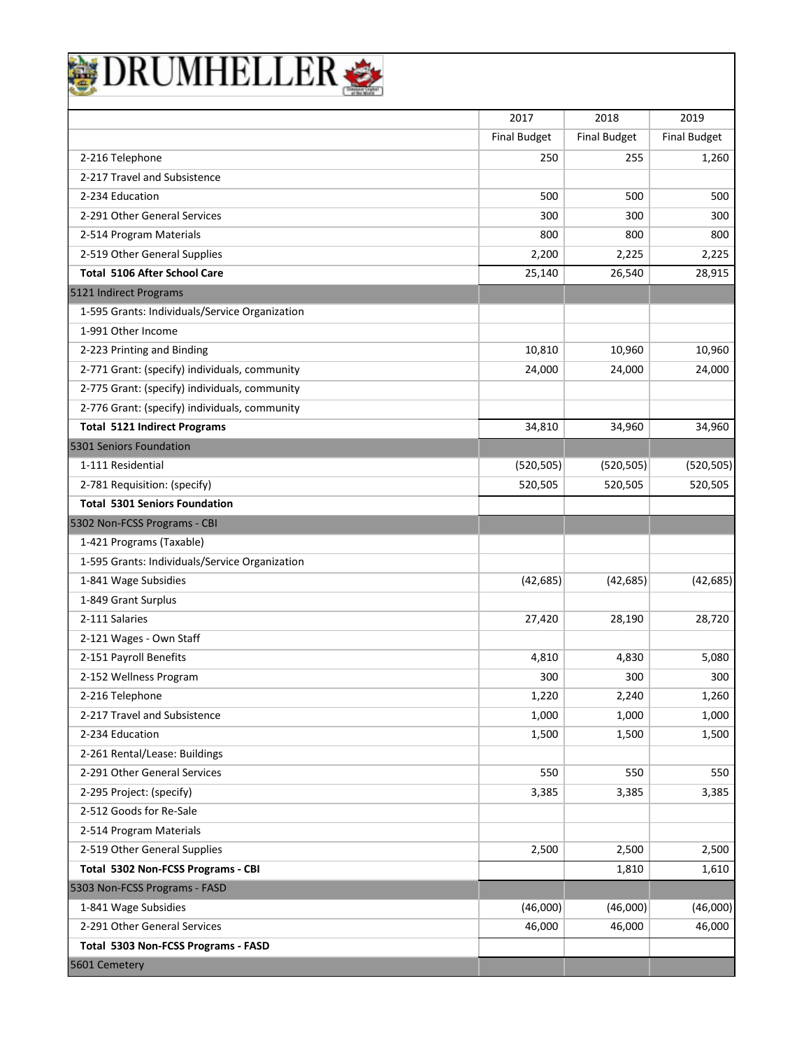| DRUMHELLER                                     |                     |                     |                     |
|------------------------------------------------|---------------------|---------------------|---------------------|
|                                                |                     |                     |                     |
|                                                | 2017                | 2018                | 2019                |
|                                                | <b>Final Budget</b> | <b>Final Budget</b> | <b>Final Budget</b> |
| 2-216 Telephone                                | 250                 | 255                 | 1,260               |
| 2-217 Travel and Subsistence                   |                     |                     |                     |
| 2-234 Education                                | 500                 | 500                 | 500                 |
| 2-291 Other General Services                   | 300                 | 300                 | 300                 |
| 2-514 Program Materials                        | 800                 | 800                 | 800                 |
| 2-519 Other General Supplies                   | 2,200               | 2,225               | 2,225               |
| <b>Total 5106 After School Care</b>            | 25,140              | 26,540              | 28,915              |
| 5121 Indirect Programs                         |                     |                     |                     |
| 1-595 Grants: Individuals/Service Organization |                     |                     |                     |
| 1-991 Other Income                             |                     |                     |                     |
| 2-223 Printing and Binding                     | 10,810              | 10,960              | 10,960              |
| 2-771 Grant: (specify) individuals, community  | 24,000              | 24,000              | 24,000              |
| 2-775 Grant: (specify) individuals, community  |                     |                     |                     |
| 2-776 Grant: (specify) individuals, community  |                     |                     |                     |
| <b>Total 5121 Indirect Programs</b>            | 34,810              | 34,960              | 34,960              |
| 5301 Seniors Foundation                        |                     |                     |                     |
| 1-111 Residential                              | (520, 505)          | (520, 505)          | (520, 505)          |
| 2-781 Requisition: (specify)                   | 520,505             | 520,505             | 520,505             |
| <b>Total 5301 Seniors Foundation</b>           |                     |                     |                     |
| 5302 Non-FCSS Programs - CBI                   |                     |                     |                     |
| 1-421 Programs (Taxable)                       |                     |                     |                     |
| 1-595 Grants: Individuals/Service Organization |                     |                     |                     |
| 1-841 Wage Subsidies                           | (42, 685)           | (42, 685)           | (42, 685)           |
| 1-849 Grant Surplus                            |                     |                     |                     |
| 2-111 Salaries                                 | 27,420              | 28,190              | 28,720              |
| 2-121 Wages - Own Staff                        |                     |                     |                     |
| 2-151 Payroll Benefits                         | 4,810               | 4,830               | 5,080               |
| 2-152 Wellness Program                         | 300                 | 300                 | 300                 |
| 2-216 Telephone                                | 1,220               | 2,240               | 1,260               |
| 2-217 Travel and Subsistence                   | 1,000               | 1,000               | 1,000               |
| 2-234 Education                                | 1,500               | 1,500               | 1,500               |
| 2-261 Rental/Lease: Buildings                  |                     |                     |                     |
| 2-291 Other General Services                   | 550                 | 550                 | 550                 |
| 2-295 Project: (specify)                       | 3,385               | 3,385               | 3,385               |
| 2-512 Goods for Re-Sale                        |                     |                     |                     |
| 2-514 Program Materials                        |                     |                     |                     |
| 2-519 Other General Supplies                   | 2,500               | 2,500               | 2,500               |
| Total 5302 Non-FCSS Programs - CBI             |                     | 1,810               | 1,610               |
| 5303 Non-FCSS Programs - FASD                  |                     |                     |                     |
| 1-841 Wage Subsidies                           | (46,000)            | (46,000)            | (46,000)            |
| 2-291 Other General Services                   | 46,000              | 46,000              | 46,000              |
| Total 5303 Non-FCSS Programs - FASD            |                     |                     |                     |
| 5601 Cemetery                                  |                     |                     |                     |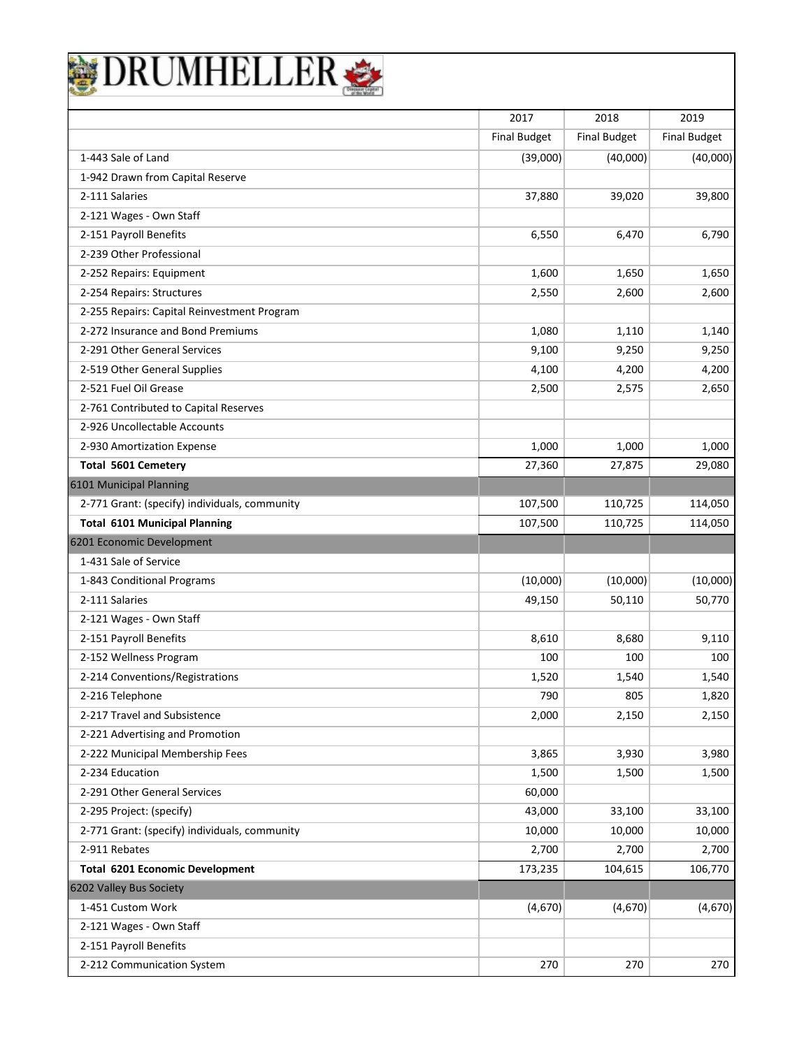|                                               | 2017                | 2018                | 2019                |
|-----------------------------------------------|---------------------|---------------------|---------------------|
|                                               | <b>Final Budget</b> | <b>Final Budget</b> | <b>Final Budget</b> |
| 1-443 Sale of Land                            | (39,000)            | (40,000)            | (40,000)            |
| 1-942 Drawn from Capital Reserve              |                     |                     |                     |
| 2-111 Salaries                                | 37,880              | 39,020              | 39,800              |
| 2-121 Wages - Own Staff                       |                     |                     |                     |
| 2-151 Payroll Benefits                        | 6,550               | 6,470               | 6,790               |
| 2-239 Other Professional                      |                     |                     |                     |
| 2-252 Repairs: Equipment                      | 1,600               | 1,650               | 1,650               |
| 2-254 Repairs: Structures                     | 2,550               | 2,600               | 2,600               |
| 2-255 Repairs: Capital Reinvestment Program   |                     |                     |                     |
| 2-272 Insurance and Bond Premiums             | 1,080               | 1,110               | 1,140               |
| 2-291 Other General Services                  | 9,100               | 9,250               | 9,250               |
| 2-519 Other General Supplies                  | 4,100               | 4,200               | 4,200               |
| 2-521 Fuel Oil Grease                         | 2,500               | 2,575               | 2,650               |
| 2-761 Contributed to Capital Reserves         |                     |                     |                     |
| 2-926 Uncollectable Accounts                  |                     |                     |                     |
| 2-930 Amortization Expense                    | 1,000               | 1,000               | 1,000               |
| <b>Total 5601 Cemetery</b>                    | 27,360              | 27,875              | 29,080              |
| 6101 Municipal Planning                       |                     |                     |                     |
| 2-771 Grant: (specify) individuals, community | 107,500             | 110,725             | 114,050             |
| <b>Total 6101 Municipal Planning</b>          | 107,500             | 110,725             | 114,050             |
| 6201 Economic Development                     |                     |                     |                     |
| 1-431 Sale of Service                         |                     |                     |                     |
| 1-843 Conditional Programs                    | (10,000)            | (10,000)            | (10,000)            |
| 2-111 Salaries                                | 49,150              | 50,110              | 50,770              |
| 2-121 Wages - Own Staff                       |                     |                     |                     |
| 2-151 Payroll Benefits                        | 8,610               | 8,680               | 9,110               |
| 2-152 Wellness Program                        | 100                 | 100                 | 100                 |
| 2-214 Conventions/Registrations               | 1,520               | 1,540               | 1,540               |
| 2-216 Telephone                               | 790                 | 805                 | 1,820               |
| 2-217 Travel and Subsistence                  | 2,000               | 2,150               | 2,150               |
| 2-221 Advertising and Promotion               |                     |                     |                     |
| 2-222 Municipal Membership Fees               | 3,865               | 3,930               | 3,980               |
| 2-234 Education                               | 1,500               | 1,500               | 1,500               |
| 2-291 Other General Services                  | 60,000              |                     |                     |
| 2-295 Project: (specify)                      | 43,000              | 33,100              | 33,100              |
| 2-771 Grant: (specify) individuals, community | 10,000              | 10,000              | 10,000              |
| 2-911 Rebates                                 | 2,700               | 2,700               | 2,700               |
| <b>Total 6201 Economic Development</b>        | 173,235             | 104,615             | 106,770             |
| 6202 Valley Bus Society                       |                     |                     |                     |
| 1-451 Custom Work                             | (4,670)             | (4,670)             | (4,670)             |
| 2-121 Wages - Own Staff                       |                     |                     |                     |
| 2-151 Payroll Benefits                        |                     |                     |                     |
| 2-212 Communication System                    | 270                 | 270                 | 270                 |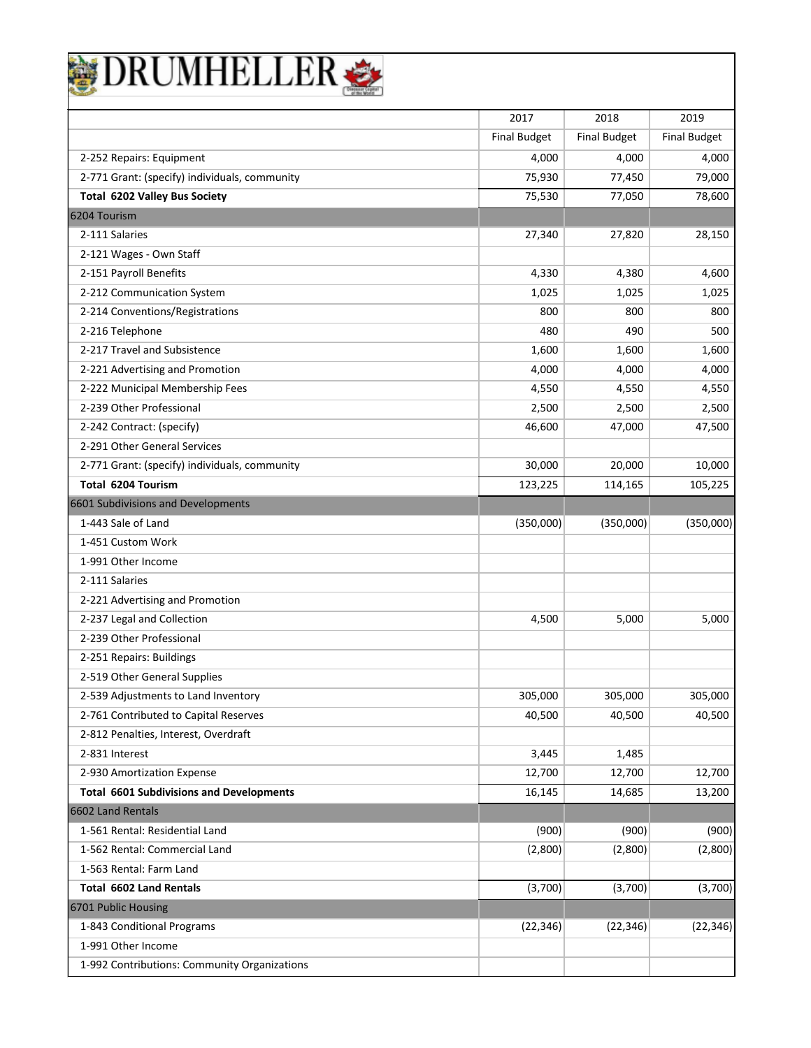| <b>DRUMHELLER</b>                               |                     |                     |                     |
|-------------------------------------------------|---------------------|---------------------|---------------------|
|                                                 |                     |                     |                     |
|                                                 | 2017                | 2018                | 2019                |
|                                                 | <b>Final Budget</b> | <b>Final Budget</b> | <b>Final Budget</b> |
| 2-252 Repairs: Equipment                        | 4,000               | 4,000               | 4,000               |
| 2-771 Grant: (specify) individuals, community   | 75,930              | 77,450              | 79,000              |
| <b>Total 6202 Valley Bus Society</b>            | 75,530              | 77,050              | 78,600              |
| 6204 Tourism                                    |                     |                     |                     |
| 2-111 Salaries                                  | 27,340              | 27,820              | 28,150              |
| 2-121 Wages - Own Staff                         |                     |                     |                     |
| 2-151 Payroll Benefits                          | 4,330               | 4,380               | 4,600               |
| 2-212 Communication System                      | 1,025               | 1,025               | 1,025               |
| 2-214 Conventions/Registrations                 | 800                 | 800                 | 800                 |
| 2-216 Telephone                                 | 480                 | 490                 | 500                 |
| 2-217 Travel and Subsistence                    | 1,600               | 1,600               | 1,600               |
| 2-221 Advertising and Promotion                 | 4,000               | 4,000               | 4,000               |
| 2-222 Municipal Membership Fees                 | 4,550               | 4,550               | 4,550               |
| 2-239 Other Professional                        | 2,500               | 2,500               | 2,500               |
| 2-242 Contract: (specify)                       | 46,600              | 47,000              | 47,500              |
| 2-291 Other General Services                    |                     |                     |                     |
| 2-771 Grant: (specify) individuals, community   | 30,000              | 20,000              | 10,000              |
| Total 6204 Tourism                              | 123,225             | 114,165             | 105,225             |
| 6601 Subdivisions and Developments              |                     |                     |                     |
| 1-443 Sale of Land                              | (350,000)           | (350,000)           | (350,000)           |
| 1-451 Custom Work                               |                     |                     |                     |
| 1-991 Other Income                              |                     |                     |                     |
| 2-111 Salaries                                  |                     |                     |                     |
| 2-221 Advertising and Promotion                 |                     |                     |                     |
| 2-237 Legal and Collection                      | 4,500               | 5,000               | 5,000               |
| 2-239 Other Professional                        |                     |                     |                     |
| 2-251 Repairs: Buildings                        |                     |                     |                     |
| 2-519 Other General Supplies                    |                     |                     |                     |
| 2-539 Adjustments to Land Inventory             | 305,000             | 305,000             | 305,000             |
| 2-761 Contributed to Capital Reserves           | 40,500              | 40,500              | 40,500              |
| 2-812 Penalties, Interest, Overdraft            |                     |                     |                     |
| 2-831 Interest                                  | 3,445               | 1,485               |                     |
| 2-930 Amortization Expense                      | 12,700              | 12,700              | 12,700              |
| <b>Total 6601 Subdivisions and Developments</b> | 16,145              | 14,685              | 13,200              |
| 6602 Land Rentals                               |                     |                     |                     |
| 1-561 Rental: Residential Land                  | (900)               | (900)               | (900)               |
| 1-562 Rental: Commercial Land                   | (2,800)             | (2,800)             | (2,800)             |
| 1-563 Rental: Farm Land                         |                     |                     |                     |
| <b>Total 6602 Land Rentals</b>                  | (3,700)             | (3,700)             | (3,700)             |
| 6701 Public Housing                             |                     |                     |                     |
| 1-843 Conditional Programs                      | (22, 346)           | (22, 346)           | (22, 346)           |
| 1-991 Other Income                              |                     |                     |                     |
| 1-992 Contributions: Community Organizations    |                     |                     |                     |

ן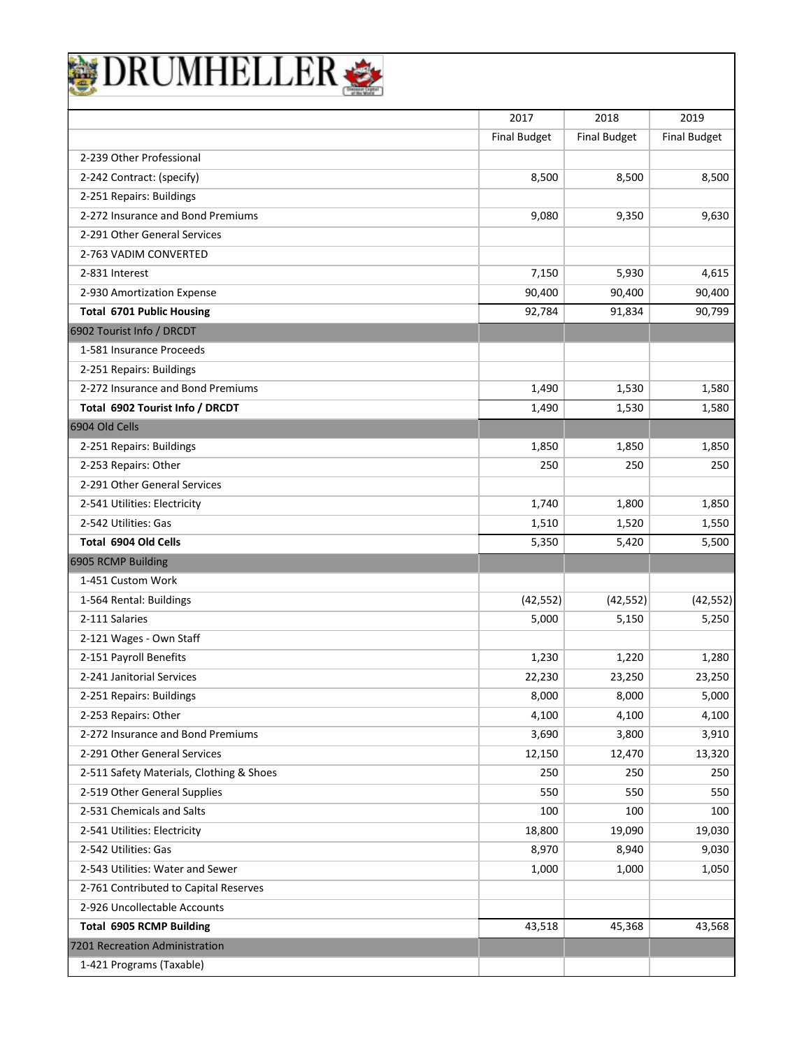|                                          | 2017<br><b>Final Budget</b> | 2018<br><b>Final Budget</b> | 2019<br><b>Final Budget</b> |
|------------------------------------------|-----------------------------|-----------------------------|-----------------------------|
| 2-239 Other Professional                 |                             |                             |                             |
| 2-242 Contract: (specify)                | 8,500                       | 8,500                       | 8,500                       |
| 2-251 Repairs: Buildings                 |                             |                             |                             |
| 2-272 Insurance and Bond Premiums        | 9,080                       | 9,350                       | 9,630                       |
| 2-291 Other General Services             |                             |                             |                             |
| 2-763 VADIM CONVERTED                    |                             |                             |                             |
| 2-831 Interest                           | 7,150                       | 5,930                       | 4,615                       |
| 2-930 Amortization Expense               | 90,400                      | 90,400                      | 90,400                      |
| <b>Total 6701 Public Housing</b>         | 92,784                      | 91,834                      | 90,799                      |
| 6902 Tourist Info / DRCDT                |                             |                             |                             |
| 1-581 Insurance Proceeds                 |                             |                             |                             |
| 2-251 Repairs: Buildings                 |                             |                             |                             |
| 2-272 Insurance and Bond Premiums        | 1.490                       | 1,530                       | 1,580                       |
| Total 6902 Tourist Info / DRCDT          | 1,490                       | 1,530                       | 1,580                       |
| 6904 Old Cells                           |                             |                             |                             |
| 2-251 Repairs: Buildings                 | 1,850                       | 1,850                       | 1,850                       |
| 2-253 Repairs: Other                     | 250                         | 250                         | 250                         |
| 2-291 Other General Services             |                             |                             |                             |
| 2-541 Utilities: Electricity             | 1,740                       | 1,800                       | 1,850                       |
| 2-542 Utilities: Gas                     | 1,510                       | 1,520                       | 1,550                       |
| Total 6904 Old Cells                     | 5,350                       | 5,420                       | 5,500                       |
| 6905 RCMP Building                       |                             |                             |                             |
| 1-451 Custom Work                        |                             |                             |                             |
| 1-564 Rental: Buildings                  | (42, 552)                   | (42, 552)                   | (42, 552)                   |
| 2-111 Salaries                           | 5,000                       | 5,150                       | 5,250                       |
| 2-121 Wages - Own Staff                  |                             |                             |                             |
| 2-151 Payroll Benefits                   | 1,230                       | 1,220                       | 1,280                       |
| 2-241 Janitorial Services                | 22,230                      | 23,250                      | 23,250                      |
| 2-251 Repairs: Buildings                 | 8,000                       | 8,000                       | 5,000                       |
| 2-253 Repairs: Other                     | 4,100                       | 4,100                       | 4,100                       |
| 2-272 Insurance and Bond Premiums        | 3,690                       | 3,800                       | 3,910                       |
| 2-291 Other General Services             | 12,150                      | 12,470                      | 13,320                      |
| 2-511 Safety Materials, Clothing & Shoes | 250                         | 250                         | 250                         |
| 2-519 Other General Supplies             | 550                         | 550                         | 550                         |
| 2-531 Chemicals and Salts                | 100                         | 100                         | 100                         |
| 2-541 Utilities: Electricity             | 18,800                      | 19,090                      | 19,030                      |
| 2-542 Utilities: Gas                     | 8,970                       | 8,940                       | 9,030                       |
| 2-543 Utilities: Water and Sewer         | 1,000                       | 1,000                       | 1,050                       |
| 2-761 Contributed to Capital Reserves    |                             |                             |                             |
| 2-926 Uncollectable Accounts             |                             |                             |                             |
| <b>Total 6905 RCMP Building</b>          | 43,518                      | 45,368                      | 43,568                      |
| 7201 Recreation Administration           |                             |                             |                             |
| 1-421 Programs (Taxable)                 |                             |                             |                             |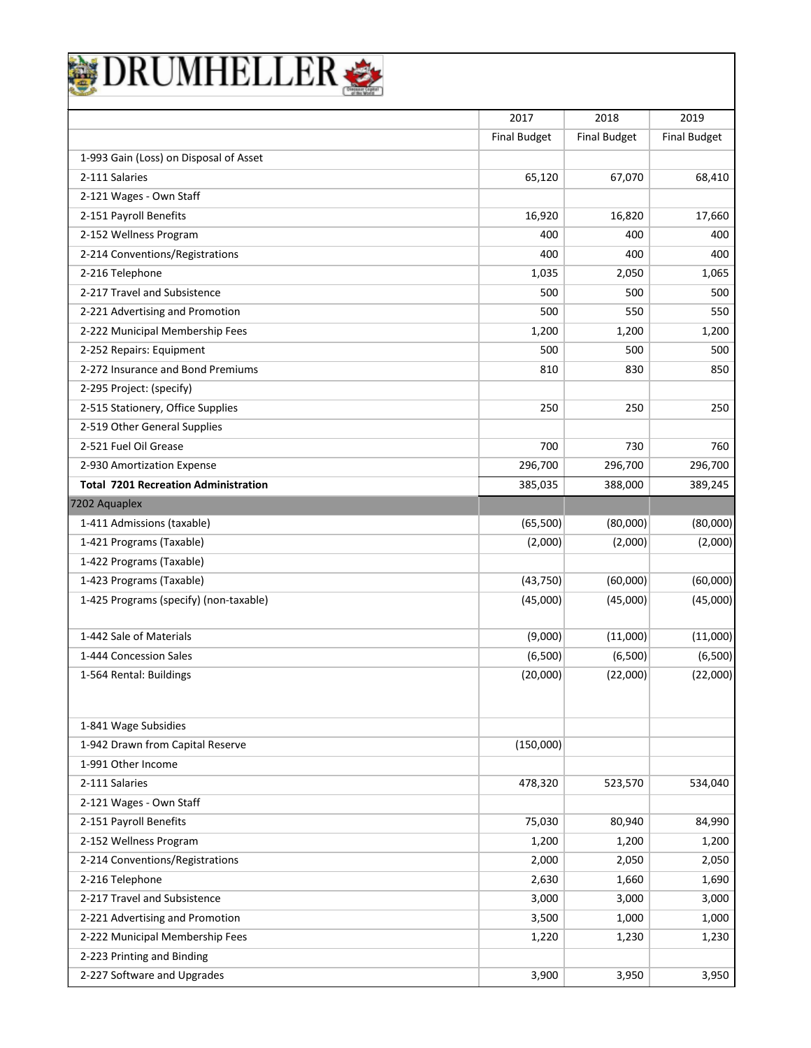|                                             | 2017                | 2018                | 2019                |
|---------------------------------------------|---------------------|---------------------|---------------------|
|                                             | <b>Final Budget</b> | <b>Final Budget</b> | <b>Final Budget</b> |
| 1-993 Gain (Loss) on Disposal of Asset      |                     |                     |                     |
| 2-111 Salaries                              | 65,120              | 67,070              | 68,410              |
| 2-121 Wages - Own Staff                     |                     |                     |                     |
| 2-151 Payroll Benefits                      | 16,920              | 16,820              | 17,660              |
| 2-152 Wellness Program                      | 400                 | 400                 | 400                 |
| 2-214 Conventions/Registrations             | 400                 | 400                 | 400                 |
| 2-216 Telephone                             | 1,035               | 2,050               | 1,065               |
| 2-217 Travel and Subsistence                | 500                 | 500                 | 500                 |
| 2-221 Advertising and Promotion             | 500                 | 550                 | 550                 |
| 2-222 Municipal Membership Fees             | 1,200               | 1,200               | 1,200               |
| 2-252 Repairs: Equipment                    | 500                 | 500                 | 500                 |
| 2-272 Insurance and Bond Premiums           | 810                 | 830                 | 850                 |
| 2-295 Project: (specify)                    |                     |                     |                     |
| 2-515 Stationery, Office Supplies           | 250                 | 250                 | 250                 |
| 2-519 Other General Supplies                |                     |                     |                     |
| 2-521 Fuel Oil Grease                       | 700                 | 730                 | 760                 |
| 2-930 Amortization Expense                  | 296,700             | 296,700             | 296,700             |
| <b>Total 7201 Recreation Administration</b> | 385,035             | 388,000             | 389,245             |
| 7202 Aquaplex                               |                     |                     |                     |
| 1-411 Admissions (taxable)                  | (65,500)            | (80,000)            | (80,000)            |
| 1-421 Programs (Taxable)                    | (2,000)             | (2,000)             | (2,000)             |
| 1-422 Programs (Taxable)                    |                     |                     |                     |
| 1-423 Programs (Taxable)                    | (43, 750)           | (60,000)            | (60,000)            |
| 1-425 Programs (specify) (non-taxable)      | (45,000)            | (45,000)            | (45,000)            |
| 1-442 Sale of Materials                     | (9,000)             | (11,000)            | (11,000)            |
| 1-444 Concession Sales                      | (6,500)             | (6,500)             | (6,500)             |
| 1-564 Rental: Buildings                     | (20,000)            | (22,000)            | (22,000)            |
| 1-841 Wage Subsidies                        |                     |                     |                     |
| 1-942 Drawn from Capital Reserve            | (150,000)           |                     |                     |
| 1-991 Other Income                          |                     |                     |                     |
| 2-111 Salaries                              | 478,320             | 523,570             | 534,040             |
| 2-121 Wages - Own Staff                     |                     |                     |                     |
| 2-151 Payroll Benefits                      | 75,030              | 80,940              | 84,990              |
| 2-152 Wellness Program                      | 1,200               | 1,200               | 1,200               |
| 2-214 Conventions/Registrations             | 2,000               | 2,050               | 2,050               |
| 2-216 Telephone                             | 2,630               | 1,660               | 1,690               |
| 2-217 Travel and Subsistence                | 3,000               | 3,000               | 3,000               |
| 2-221 Advertising and Promotion             | 3,500               | 1,000               | 1,000               |
| 2-222 Municipal Membership Fees             | 1,220               | 1,230               | 1,230               |
| 2-223 Printing and Binding                  |                     |                     |                     |
|                                             |                     |                     |                     |

 $\overline{\phantom{a}}$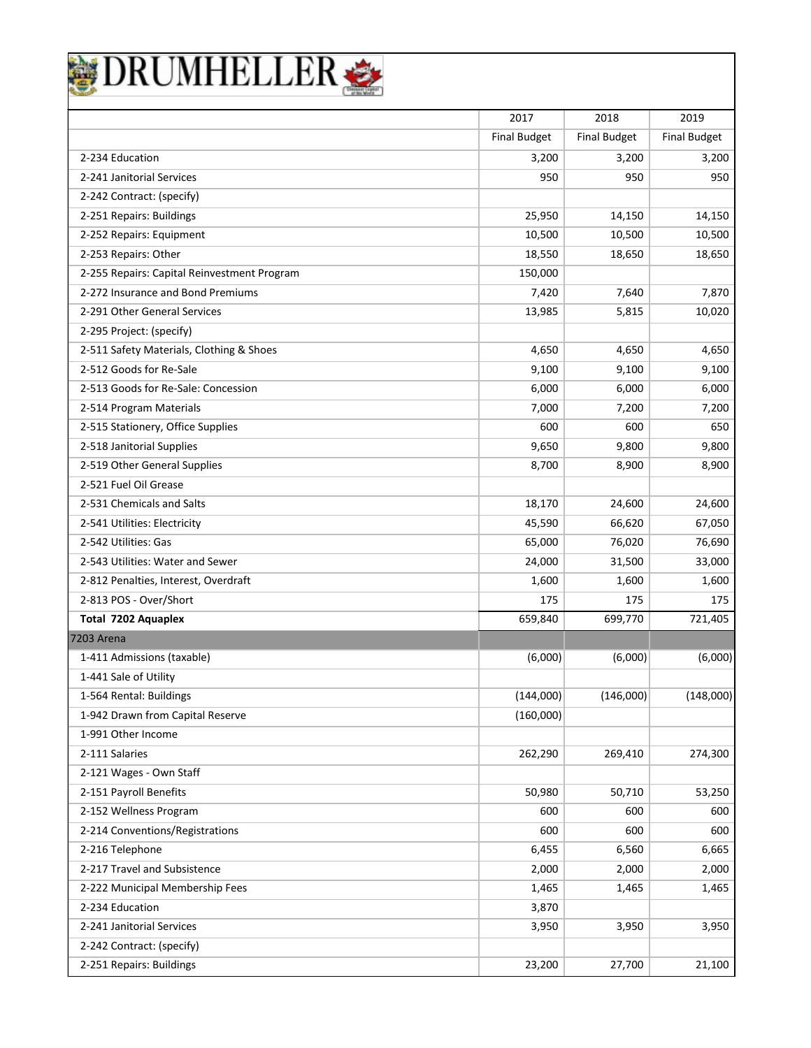| DRUMHELLEI                                  |                     |                     |                     |
|---------------------------------------------|---------------------|---------------------|---------------------|
|                                             | 2017                | 2018                | 2019                |
|                                             | <b>Final Budget</b> | <b>Final Budget</b> | <b>Final Budget</b> |
| 2-234 Education                             | 3,200               | 3,200               | 3,200               |
| 2-241 Janitorial Services                   | 950                 | 950                 | 950                 |
| 2-242 Contract: (specify)                   |                     |                     |                     |
| 2-251 Repairs: Buildings                    | 25,950              | 14,150              | 14,150              |
| 2-252 Repairs: Equipment                    | 10,500              | 10,500              | 10,500              |
| 2-253 Repairs: Other                        | 18,550              | 18,650              | 18,650              |
| 2-255 Repairs: Capital Reinvestment Program | 150,000             |                     |                     |
| 2-272 Insurance and Bond Premiums           | 7,420               | 7,640               | 7,870               |
| 2-291 Other General Services                | 13,985              | 5,815               | 10,020              |
| 2-295 Project: (specify)                    |                     |                     |                     |
| 2-511 Safety Materials, Clothing & Shoes    | 4,650               | 4,650               | 4,650               |
| 2-512 Goods for Re-Sale                     | 9,100               | 9,100               | 9,100               |
| 2-513 Goods for Re-Sale: Concession         | 6,000               | 6,000               | 6,000               |
| 2-514 Program Materials                     | 7,000               | 7,200               | 7,200               |
| 2-515 Stationery, Office Supplies           | 600                 | 600                 | 650                 |
| 2-518 Janitorial Supplies                   | 9,650               | 9,800               | 9,800               |
| 2-519 Other General Supplies                | 8,700               | 8,900               | 8,900               |
| 2-521 Fuel Oil Grease                       |                     |                     |                     |
| 2-531 Chemicals and Salts                   | 18,170              | 24,600              | 24,600              |
| 2-541 Utilities: Electricity                | 45,590              | 66,620              | 67,050              |
| 2-542 Utilities: Gas                        | 65,000              | 76,020              | 76,690              |
| 2-543 Utilities: Water and Sewer            | 24,000              | 31,500              | 33,000              |
| 2-812 Penalties, Interest, Overdraft        | 1,600               | 1,600               | 1,600               |
| 2-813 POS - Over/Short                      | 175                 | 175                 | 175                 |
| Total 7202 Aquaplex                         | 659,840             | 699,770             | 721,405             |
| <b>7203 Arena</b>                           |                     |                     |                     |
| 1-411 Admissions (taxable)                  | (6,000)             | (6,000)             | (6,000)             |
| 1-441 Sale of Utility                       |                     |                     |                     |
| 1-564 Rental: Buildings                     | (144,000)           | (146,000)           | (148,000)           |
| 1-942 Drawn from Capital Reserve            | (160,000)           |                     |                     |
| 1-991 Other Income                          |                     |                     |                     |
| 2-111 Salaries                              | 262,290             | 269,410             | 274,300             |
| 2-121 Wages - Own Staff                     |                     |                     |                     |
| 2-151 Payroll Benefits                      | 50,980              | 50,710              | 53,250              |
| 2-152 Wellness Program                      | 600                 | 600                 | 600                 |
| 2-214 Conventions/Registrations             | 600                 | 600                 | 600                 |
| 2-216 Telephone                             | 6,455               | 6,560               | 6,665               |
| 2-217 Travel and Subsistence                | 2,000               | 2,000               | 2,000               |
| 2-222 Municipal Membership Fees             | 1,465               | 1,465               | 1,465               |
| 2-234 Education                             | 3,870               |                     |                     |
| 2-241 Janitorial Services                   | 3,950               | 3,950               | 3,950               |
| 2-242 Contract: (specify)                   |                     |                     |                     |
| 2-251 Repairs: Buildings                    | 23,200              | 27,700              | 21,100              |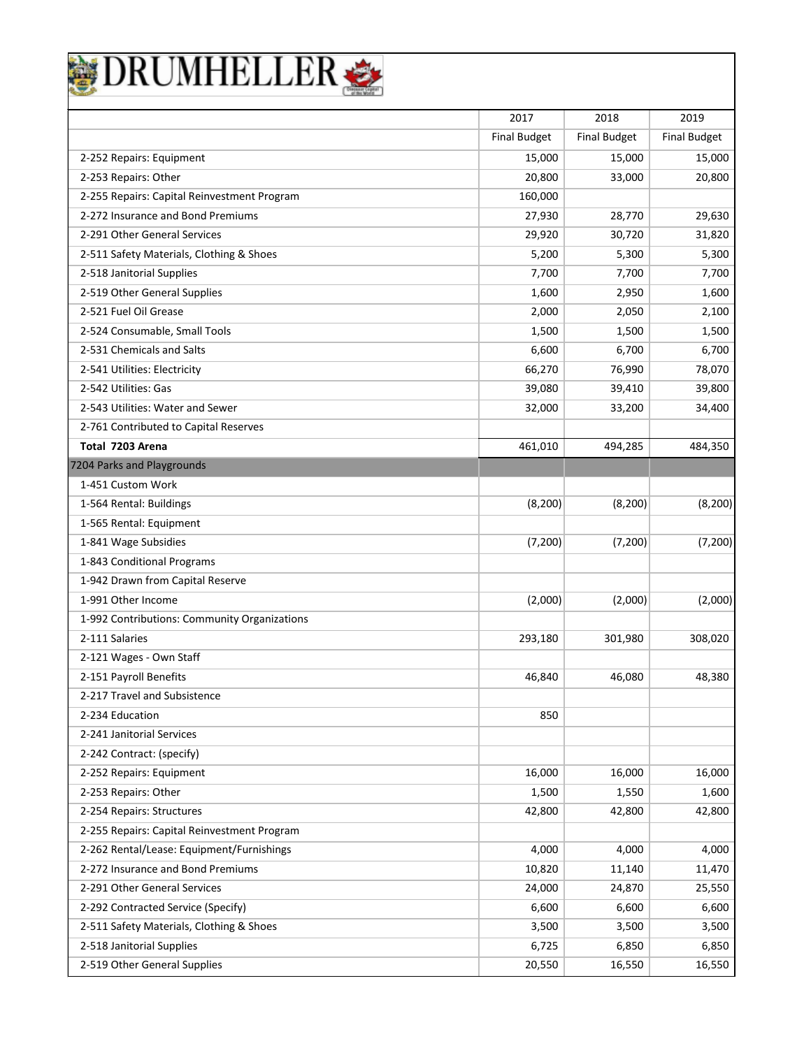| DRUMHELLER                                   |                     |                     |                     |
|----------------------------------------------|---------------------|---------------------|---------------------|
|                                              | 2017                | 2018                | 2019                |
|                                              | <b>Final Budget</b> | <b>Final Budget</b> | <b>Final Budget</b> |
| 2-252 Repairs: Equipment                     | 15,000              | 15,000              | 15,000              |
| 2-253 Repairs: Other                         | 20,800              | 33,000              | 20,800              |
| 2-255 Repairs: Capital Reinvestment Program  | 160,000             |                     |                     |
| 2-272 Insurance and Bond Premiums            | 27,930              | 28,770              | 29,630              |
| 2-291 Other General Services                 | 29,920              | 30,720              | 31,820              |
| 2-511 Safety Materials, Clothing & Shoes     | 5,200               | 5,300               | 5,300               |
| 2-518 Janitorial Supplies                    | 7,700               | 7,700               | 7,700               |
| 2-519 Other General Supplies                 | 1,600               | 2,950               | 1,600               |
| 2-521 Fuel Oil Grease                        | 2,000               | 2,050               | 2,100               |
| 2-524 Consumable, Small Tools                | 1,500               | 1,500               | 1,500               |
| 2-531 Chemicals and Salts                    | 6,600               | 6,700               | 6,700               |
| 2-541 Utilities: Electricity                 | 66,270              | 76,990              | 78,070              |
| 2-542 Utilities: Gas                         | 39,080              | 39,410              | 39,800              |
| 2-543 Utilities: Water and Sewer             | 32,000              | 33,200              | 34,400              |
| 2-761 Contributed to Capital Reserves        |                     |                     |                     |
| Total 7203 Arena                             | 461,010             | 494,285             | 484,350             |
| 7204 Parks and Playgrounds                   |                     |                     |                     |
| 1-451 Custom Work                            |                     |                     |                     |
| 1-564 Rental: Buildings                      | (8, 200)            | (8, 200)            | (8, 200)            |
| 1-565 Rental: Equipment                      |                     |                     |                     |
| 1-841 Wage Subsidies                         | (7, 200)            | (7,200)             | (7, 200)            |
| 1-843 Conditional Programs                   |                     |                     |                     |
| 1-942 Drawn from Capital Reserve             |                     |                     |                     |
| 1-991 Other Income                           | (2,000)             | (2,000)             | (2,000)             |
| 1-992 Contributions: Community Organizations |                     |                     |                     |
| 2-111 Salaries                               | 293,180             | 301,980             | 308,020             |
| 2-121 Wages - Own Staff                      |                     |                     |                     |
| 2-151 Payroll Benefits                       | 46,840              | 46,080              | 48,380              |
| 2-217 Travel and Subsistence                 |                     |                     |                     |
| 2-234 Education                              | 850                 |                     |                     |
| 2-241 Janitorial Services                    |                     |                     |                     |
| 2-242 Contract: (specify)                    |                     |                     |                     |
| 2-252 Repairs: Equipment                     | 16,000              | 16,000              | 16,000              |
| 2-253 Repairs: Other                         | 1,500               | 1,550               | 1,600               |
| 2-254 Repairs: Structures                    | 42,800              | 42,800              | 42,800              |
| 2-255 Repairs: Capital Reinvestment Program  |                     |                     |                     |
| 2-262 Rental/Lease: Equipment/Furnishings    | 4,000               | 4,000               | 4,000               |
| 2-272 Insurance and Bond Premiums            | 10,820              | 11,140              | 11,470              |
| 2-291 Other General Services                 | 24,000              | 24,870              | 25,550              |
| 2-292 Contracted Service (Specify)           | 6,600               | 6,600               | 6,600               |
| 2-511 Safety Materials, Clothing & Shoes     | 3,500               | 3,500               | 3,500               |
| 2-518 Janitorial Supplies                    | 6,725               | 6,850               | 6,850               |
| 2-519 Other General Supplies                 | 20,550              | 16,550              | 16,550              |

 $\mathbf l$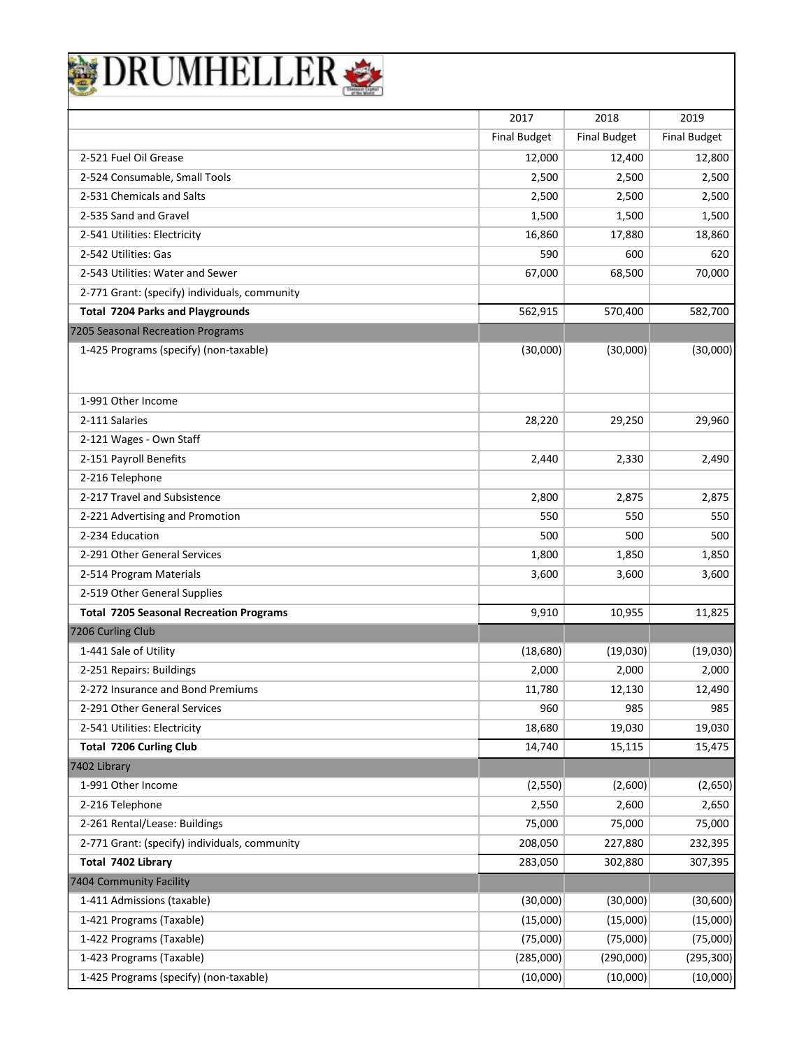| 2017<br>2018<br>2019<br><b>Final Budget</b><br><b>Final Budget</b><br><b>Final Budget</b><br>2-521 Fuel Oil Grease<br>12,000<br>12,400<br>12,800<br>2-524 Consumable, Small Tools<br>2,500<br>2,500<br>2,500<br>2-531 Chemicals and Salts<br>2,500<br>2,500<br>2,500<br>2-535 Sand and Gravel<br>1,500<br>1,500<br>1,500<br>2-541 Utilities: Electricity<br>16,860<br>18,860<br>17,880<br>2-542 Utilities: Gas<br>590<br>600<br>2-543 Utilities: Water and Sewer<br>70,000<br>67,000<br>68,500<br>2-771 Grant: (specify) individuals, community<br><b>Total 7204 Parks and Playgrounds</b><br>562,915<br>570,400<br>582,700<br>7205 Seasonal Recreation Programs<br>1-425 Programs (specify) (non-taxable)<br>(30,000)<br>(30,000)<br>1-991 Other Income<br>2-111 Salaries<br>28,220<br>29,250<br>2-121 Wages - Own Staff<br>2-151 Payroll Benefits<br>2,330<br>2,440<br>2,490<br>2-216 Telephone<br>2-217 Travel and Subsistence<br>2,800<br>2,875<br>2,875<br>2-221 Advertising and Promotion<br>550<br>550<br>550<br>2-234 Education<br>500<br>500<br>500<br>2-291 Other General Services<br>1,800<br>1,850<br>2-514 Program Materials<br>3,600<br>3,600<br>3,600<br>2-519 Other General Supplies<br><b>Total 7205 Seasonal Recreation Programs</b><br>9,910<br>10,955<br>7206 Curling Club<br>1-441 Sale of Utility<br>(18,680)<br>(19,030)<br>2-251 Repairs: Buildings<br>2,000<br>2,000<br>2-272 Insurance and Bond Premiums<br>11,780<br>12,130<br>2-291 Other General Services<br>960<br>985<br>2-541 Utilities: Electricity<br>18,680<br>19,030<br><b>Total 7206 Curling Club</b><br>14,740<br>15,115<br>7402 Library<br>1-991 Other Income<br>(2,550)<br>(2,600)<br>2-216 Telephone<br>2,550<br>2,600<br>2-261 Rental/Lease: Buildings<br>75,000<br>75,000<br>75,000<br>2-771 Grant: (specify) individuals, community<br>208,050<br>227,880<br>232,395<br>Total 7402 Library<br>283,050<br>302,880<br>307,395 | DRUMHELLEF              |  |            |
|-------------------------------------------------------------------------------------------------------------------------------------------------------------------------------------------------------------------------------------------------------------------------------------------------------------------------------------------------------------------------------------------------------------------------------------------------------------------------------------------------------------------------------------------------------------------------------------------------------------------------------------------------------------------------------------------------------------------------------------------------------------------------------------------------------------------------------------------------------------------------------------------------------------------------------------------------------------------------------------------------------------------------------------------------------------------------------------------------------------------------------------------------------------------------------------------------------------------------------------------------------------------------------------------------------------------------------------------------------------------------------------------------------------------------------------------------------------------------------------------------------------------------------------------------------------------------------------------------------------------------------------------------------------------------------------------------------------------------------------------------------------------------------------------------------------------------------------------------------------------------------------------------------------------------|-------------------------|--|------------|
|                                                                                                                                                                                                                                                                                                                                                                                                                                                                                                                                                                                                                                                                                                                                                                                                                                                                                                                                                                                                                                                                                                                                                                                                                                                                                                                                                                                                                                                                                                                                                                                                                                                                                                                                                                                                                                                                                                                         |                         |  |            |
|                                                                                                                                                                                                                                                                                                                                                                                                                                                                                                                                                                                                                                                                                                                                                                                                                                                                                                                                                                                                                                                                                                                                                                                                                                                                                                                                                                                                                                                                                                                                                                                                                                                                                                                                                                                                                                                                                                                         |                         |  |            |
|                                                                                                                                                                                                                                                                                                                                                                                                                                                                                                                                                                                                                                                                                                                                                                                                                                                                                                                                                                                                                                                                                                                                                                                                                                                                                                                                                                                                                                                                                                                                                                                                                                                                                                                                                                                                                                                                                                                         |                         |  |            |
|                                                                                                                                                                                                                                                                                                                                                                                                                                                                                                                                                                                                                                                                                                                                                                                                                                                                                                                                                                                                                                                                                                                                                                                                                                                                                                                                                                                                                                                                                                                                                                                                                                                                                                                                                                                                                                                                                                                         |                         |  |            |
|                                                                                                                                                                                                                                                                                                                                                                                                                                                                                                                                                                                                                                                                                                                                                                                                                                                                                                                                                                                                                                                                                                                                                                                                                                                                                                                                                                                                                                                                                                                                                                                                                                                                                                                                                                                                                                                                                                                         |                         |  |            |
|                                                                                                                                                                                                                                                                                                                                                                                                                                                                                                                                                                                                                                                                                                                                                                                                                                                                                                                                                                                                                                                                                                                                                                                                                                                                                                                                                                                                                                                                                                                                                                                                                                                                                                                                                                                                                                                                                                                         |                         |  |            |
|                                                                                                                                                                                                                                                                                                                                                                                                                                                                                                                                                                                                                                                                                                                                                                                                                                                                                                                                                                                                                                                                                                                                                                                                                                                                                                                                                                                                                                                                                                                                                                                                                                                                                                                                                                                                                                                                                                                         |                         |  |            |
|                                                                                                                                                                                                                                                                                                                                                                                                                                                                                                                                                                                                                                                                                                                                                                                                                                                                                                                                                                                                                                                                                                                                                                                                                                                                                                                                                                                                                                                                                                                                                                                                                                                                                                                                                                                                                                                                                                                         |                         |  |            |
|                                                                                                                                                                                                                                                                                                                                                                                                                                                                                                                                                                                                                                                                                                                                                                                                                                                                                                                                                                                                                                                                                                                                                                                                                                                                                                                                                                                                                                                                                                                                                                                                                                                                                                                                                                                                                                                                                                                         |                         |  | 620        |
|                                                                                                                                                                                                                                                                                                                                                                                                                                                                                                                                                                                                                                                                                                                                                                                                                                                                                                                                                                                                                                                                                                                                                                                                                                                                                                                                                                                                                                                                                                                                                                                                                                                                                                                                                                                                                                                                                                                         |                         |  |            |
|                                                                                                                                                                                                                                                                                                                                                                                                                                                                                                                                                                                                                                                                                                                                                                                                                                                                                                                                                                                                                                                                                                                                                                                                                                                                                                                                                                                                                                                                                                                                                                                                                                                                                                                                                                                                                                                                                                                         |                         |  |            |
|                                                                                                                                                                                                                                                                                                                                                                                                                                                                                                                                                                                                                                                                                                                                                                                                                                                                                                                                                                                                                                                                                                                                                                                                                                                                                                                                                                                                                                                                                                                                                                                                                                                                                                                                                                                                                                                                                                                         |                         |  |            |
|                                                                                                                                                                                                                                                                                                                                                                                                                                                                                                                                                                                                                                                                                                                                                                                                                                                                                                                                                                                                                                                                                                                                                                                                                                                                                                                                                                                                                                                                                                                                                                                                                                                                                                                                                                                                                                                                                                                         |                         |  |            |
|                                                                                                                                                                                                                                                                                                                                                                                                                                                                                                                                                                                                                                                                                                                                                                                                                                                                                                                                                                                                                                                                                                                                                                                                                                                                                                                                                                                                                                                                                                                                                                                                                                                                                                                                                                                                                                                                                                                         |                         |  | (30,000)   |
|                                                                                                                                                                                                                                                                                                                                                                                                                                                                                                                                                                                                                                                                                                                                                                                                                                                                                                                                                                                                                                                                                                                                                                                                                                                                                                                                                                                                                                                                                                                                                                                                                                                                                                                                                                                                                                                                                                                         |                         |  |            |
|                                                                                                                                                                                                                                                                                                                                                                                                                                                                                                                                                                                                                                                                                                                                                                                                                                                                                                                                                                                                                                                                                                                                                                                                                                                                                                                                                                                                                                                                                                                                                                                                                                                                                                                                                                                                                                                                                                                         |                         |  | 29,960     |
|                                                                                                                                                                                                                                                                                                                                                                                                                                                                                                                                                                                                                                                                                                                                                                                                                                                                                                                                                                                                                                                                                                                                                                                                                                                                                                                                                                                                                                                                                                                                                                                                                                                                                                                                                                                                                                                                                                                         |                         |  |            |
|                                                                                                                                                                                                                                                                                                                                                                                                                                                                                                                                                                                                                                                                                                                                                                                                                                                                                                                                                                                                                                                                                                                                                                                                                                                                                                                                                                                                                                                                                                                                                                                                                                                                                                                                                                                                                                                                                                                         |                         |  |            |
|                                                                                                                                                                                                                                                                                                                                                                                                                                                                                                                                                                                                                                                                                                                                                                                                                                                                                                                                                                                                                                                                                                                                                                                                                                                                                                                                                                                                                                                                                                                                                                                                                                                                                                                                                                                                                                                                                                                         |                         |  |            |
|                                                                                                                                                                                                                                                                                                                                                                                                                                                                                                                                                                                                                                                                                                                                                                                                                                                                                                                                                                                                                                                                                                                                                                                                                                                                                                                                                                                                                                                                                                                                                                                                                                                                                                                                                                                                                                                                                                                         |                         |  |            |
|                                                                                                                                                                                                                                                                                                                                                                                                                                                                                                                                                                                                                                                                                                                                                                                                                                                                                                                                                                                                                                                                                                                                                                                                                                                                                                                                                                                                                                                                                                                                                                                                                                                                                                                                                                                                                                                                                                                         |                         |  |            |
|                                                                                                                                                                                                                                                                                                                                                                                                                                                                                                                                                                                                                                                                                                                                                                                                                                                                                                                                                                                                                                                                                                                                                                                                                                                                                                                                                                                                                                                                                                                                                                                                                                                                                                                                                                                                                                                                                                                         |                         |  |            |
|                                                                                                                                                                                                                                                                                                                                                                                                                                                                                                                                                                                                                                                                                                                                                                                                                                                                                                                                                                                                                                                                                                                                                                                                                                                                                                                                                                                                                                                                                                                                                                                                                                                                                                                                                                                                                                                                                                                         |                         |  | 1,850      |
|                                                                                                                                                                                                                                                                                                                                                                                                                                                                                                                                                                                                                                                                                                                                                                                                                                                                                                                                                                                                                                                                                                                                                                                                                                                                                                                                                                                                                                                                                                                                                                                                                                                                                                                                                                                                                                                                                                                         |                         |  |            |
|                                                                                                                                                                                                                                                                                                                                                                                                                                                                                                                                                                                                                                                                                                                                                                                                                                                                                                                                                                                                                                                                                                                                                                                                                                                                                                                                                                                                                                                                                                                                                                                                                                                                                                                                                                                                                                                                                                                         |                         |  |            |
|                                                                                                                                                                                                                                                                                                                                                                                                                                                                                                                                                                                                                                                                                                                                                                                                                                                                                                                                                                                                                                                                                                                                                                                                                                                                                                                                                                                                                                                                                                                                                                                                                                                                                                                                                                                                                                                                                                                         |                         |  | 11,825     |
|                                                                                                                                                                                                                                                                                                                                                                                                                                                                                                                                                                                                                                                                                                                                                                                                                                                                                                                                                                                                                                                                                                                                                                                                                                                                                                                                                                                                                                                                                                                                                                                                                                                                                                                                                                                                                                                                                                                         |                         |  |            |
|                                                                                                                                                                                                                                                                                                                                                                                                                                                                                                                                                                                                                                                                                                                                                                                                                                                                                                                                                                                                                                                                                                                                                                                                                                                                                                                                                                                                                                                                                                                                                                                                                                                                                                                                                                                                                                                                                                                         |                         |  | (19,030)   |
|                                                                                                                                                                                                                                                                                                                                                                                                                                                                                                                                                                                                                                                                                                                                                                                                                                                                                                                                                                                                                                                                                                                                                                                                                                                                                                                                                                                                                                                                                                                                                                                                                                                                                                                                                                                                                                                                                                                         |                         |  | 2,000      |
|                                                                                                                                                                                                                                                                                                                                                                                                                                                                                                                                                                                                                                                                                                                                                                                                                                                                                                                                                                                                                                                                                                                                                                                                                                                                                                                                                                                                                                                                                                                                                                                                                                                                                                                                                                                                                                                                                                                         |                         |  | 12,490     |
|                                                                                                                                                                                                                                                                                                                                                                                                                                                                                                                                                                                                                                                                                                                                                                                                                                                                                                                                                                                                                                                                                                                                                                                                                                                                                                                                                                                                                                                                                                                                                                                                                                                                                                                                                                                                                                                                                                                         |                         |  | 985        |
|                                                                                                                                                                                                                                                                                                                                                                                                                                                                                                                                                                                                                                                                                                                                                                                                                                                                                                                                                                                                                                                                                                                                                                                                                                                                                                                                                                                                                                                                                                                                                                                                                                                                                                                                                                                                                                                                                                                         |                         |  | 19,030     |
|                                                                                                                                                                                                                                                                                                                                                                                                                                                                                                                                                                                                                                                                                                                                                                                                                                                                                                                                                                                                                                                                                                                                                                                                                                                                                                                                                                                                                                                                                                                                                                                                                                                                                                                                                                                                                                                                                                                         |                         |  | 15,475     |
|                                                                                                                                                                                                                                                                                                                                                                                                                                                                                                                                                                                                                                                                                                                                                                                                                                                                                                                                                                                                                                                                                                                                                                                                                                                                                                                                                                                                                                                                                                                                                                                                                                                                                                                                                                                                                                                                                                                         |                         |  |            |
|                                                                                                                                                                                                                                                                                                                                                                                                                                                                                                                                                                                                                                                                                                                                                                                                                                                                                                                                                                                                                                                                                                                                                                                                                                                                                                                                                                                                                                                                                                                                                                                                                                                                                                                                                                                                                                                                                                                         |                         |  | (2,650)    |
|                                                                                                                                                                                                                                                                                                                                                                                                                                                                                                                                                                                                                                                                                                                                                                                                                                                                                                                                                                                                                                                                                                                                                                                                                                                                                                                                                                                                                                                                                                                                                                                                                                                                                                                                                                                                                                                                                                                         |                         |  | 2,650      |
|                                                                                                                                                                                                                                                                                                                                                                                                                                                                                                                                                                                                                                                                                                                                                                                                                                                                                                                                                                                                                                                                                                                                                                                                                                                                                                                                                                                                                                                                                                                                                                                                                                                                                                                                                                                                                                                                                                                         |                         |  |            |
|                                                                                                                                                                                                                                                                                                                                                                                                                                                                                                                                                                                                                                                                                                                                                                                                                                                                                                                                                                                                                                                                                                                                                                                                                                                                                                                                                                                                                                                                                                                                                                                                                                                                                                                                                                                                                                                                                                                         |                         |  |            |
|                                                                                                                                                                                                                                                                                                                                                                                                                                                                                                                                                                                                                                                                                                                                                                                                                                                                                                                                                                                                                                                                                                                                                                                                                                                                                                                                                                                                                                                                                                                                                                                                                                                                                                                                                                                                                                                                                                                         |                         |  |            |
|                                                                                                                                                                                                                                                                                                                                                                                                                                                                                                                                                                                                                                                                                                                                                                                                                                                                                                                                                                                                                                                                                                                                                                                                                                                                                                                                                                                                                                                                                                                                                                                                                                                                                                                                                                                                                                                                                                                         | 7404 Community Facility |  |            |
| 1-411 Admissions (taxable)<br>(30,000)<br>(30,000)                                                                                                                                                                                                                                                                                                                                                                                                                                                                                                                                                                                                                                                                                                                                                                                                                                                                                                                                                                                                                                                                                                                                                                                                                                                                                                                                                                                                                                                                                                                                                                                                                                                                                                                                                                                                                                                                      |                         |  | (30,600)   |
| 1-421 Programs (Taxable)<br>(15,000)<br>(15,000)                                                                                                                                                                                                                                                                                                                                                                                                                                                                                                                                                                                                                                                                                                                                                                                                                                                                                                                                                                                                                                                                                                                                                                                                                                                                                                                                                                                                                                                                                                                                                                                                                                                                                                                                                                                                                                                                        |                         |  | (15,000)   |
| 1-422 Programs (Taxable)<br>(75,000)<br>(75,000)                                                                                                                                                                                                                                                                                                                                                                                                                                                                                                                                                                                                                                                                                                                                                                                                                                                                                                                                                                                                                                                                                                                                                                                                                                                                                                                                                                                                                                                                                                                                                                                                                                                                                                                                                                                                                                                                        |                         |  | (75,000)   |
| (285,000)<br>(290,000)<br>1-423 Programs (Taxable)                                                                                                                                                                                                                                                                                                                                                                                                                                                                                                                                                                                                                                                                                                                                                                                                                                                                                                                                                                                                                                                                                                                                                                                                                                                                                                                                                                                                                                                                                                                                                                                                                                                                                                                                                                                                                                                                      |                         |  | (295, 300) |
| 1-425 Programs (specify) (non-taxable)<br>(10,000)<br>(10,000)                                                                                                                                                                                                                                                                                                                                                                                                                                                                                                                                                                                                                                                                                                                                                                                                                                                                                                                                                                                                                                                                                                                                                                                                                                                                                                                                                                                                                                                                                                                                                                                                                                                                                                                                                                                                                                                          |                         |  | (10,000)   |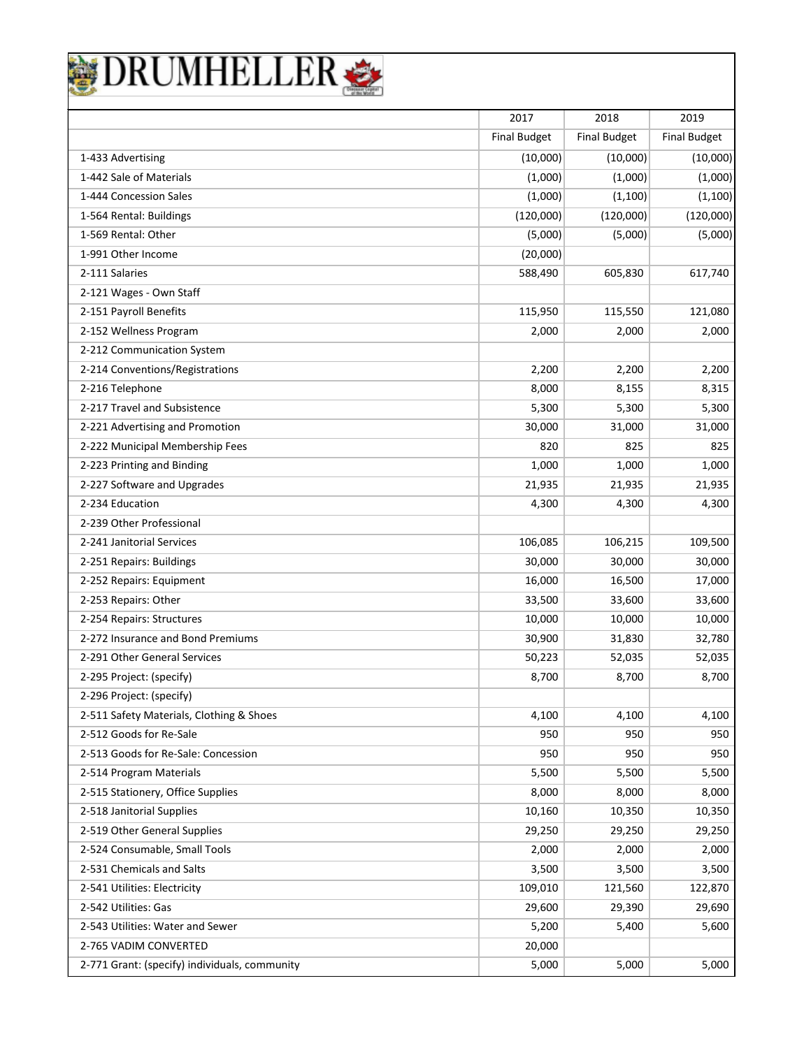|                                               | 2017                | 2018                | 2019                |
|-----------------------------------------------|---------------------|---------------------|---------------------|
|                                               | <b>Final Budget</b> | <b>Final Budget</b> | <b>Final Budget</b> |
| 1-433 Advertising                             | (10,000)            | (10,000)            | (10,000)            |
| 1-442 Sale of Materials                       | (1,000)             | (1,000)             | (1,000)             |
| 1-444 Concession Sales                        | (1,000)             | (1, 100)            | (1, 100)            |
| 1-564 Rental: Buildings                       | (120,000)           | (120,000)           | (120,000)           |
| 1-569 Rental: Other                           | (5,000)             | (5,000)             | (5,000)             |
| 1-991 Other Income                            | (20,000)            |                     |                     |
| 2-111 Salaries                                | 588,490             | 605,830             | 617,740             |
| 2-121 Wages - Own Staff                       |                     |                     |                     |
| 2-151 Payroll Benefits                        | 115,950             | 115,550             | 121,080             |
| 2-152 Wellness Program                        | 2,000               | 2,000               | 2,000               |
| 2-212 Communication System                    |                     |                     |                     |
| 2-214 Conventions/Registrations               | 2,200               | 2,200               | 2,200               |
| 2-216 Telephone                               | 8,000               | 8,155               | 8,315               |
| 2-217 Travel and Subsistence                  | 5,300               | 5,300               | 5,300               |
| 2-221 Advertising and Promotion               | 30,000              | 31,000              | 31,000              |
| 2-222 Municipal Membership Fees               | 820                 | 825                 | 825                 |
| 2-223 Printing and Binding                    | 1,000               | 1,000               | 1,000               |
| 2-227 Software and Upgrades                   | 21,935              | 21,935              | 21,935              |
| 2-234 Education                               | 4,300               | 4,300               | 4,300               |
| 2-239 Other Professional                      |                     |                     |                     |
| 2-241 Janitorial Services                     | 106,085             | 106,215             | 109,500             |
| 2-251 Repairs: Buildings                      | 30,000              | 30,000              | 30,000              |
| 2-252 Repairs: Equipment                      | 16,000              | 16,500              | 17,000              |
| 2-253 Repairs: Other                          | 33,500              | 33,600              | 33,600              |
| 2-254 Repairs: Structures                     | 10,000              | 10,000              | 10,000              |
| 2-272 Insurance and Bond Premiums             | 30,900              | 31,830              | 32,780              |
| 2-291 Other General Services                  | 50,223              | 52,035              | 52,035              |
| 2-295 Project: (specify)                      | 8,700               | 8,700               | 8,700               |
| 2-296 Project: (specify)                      |                     |                     |                     |
| 2-511 Safety Materials, Clothing & Shoes      | 4,100               | 4,100               | 4,100               |
| 2-512 Goods for Re-Sale                       | 950                 | 950                 | 950                 |
| 2-513 Goods for Re-Sale: Concession           | 950                 | 950                 | 950                 |
| 2-514 Program Materials                       | 5,500               | 5,500               | 5,500               |
| 2-515 Stationery, Office Supplies             | 8,000               | 8,000               | 8,000               |
| 2-518 Janitorial Supplies                     | 10,160              | 10,350              | 10,350              |
| 2-519 Other General Supplies                  | 29,250              | 29,250              | 29,250              |
| 2-524 Consumable, Small Tools                 | 2,000               | 2,000               | 2,000               |
| 2-531 Chemicals and Salts                     | 3,500               | 3,500               | 3,500               |
| 2-541 Utilities: Electricity                  | 109,010             | 121,560             | 122,870             |
| 2-542 Utilities: Gas                          | 29,600              | 29,390              | 29,690              |
| 2-543 Utilities: Water and Sewer              | 5,200               | 5,400               | 5,600               |
| 2-765 VADIM CONVERTED                         | 20,000              |                     |                     |
| 2-771 Grant: (specify) individuals, community | 5,000               | 5,000               | 5,000               |